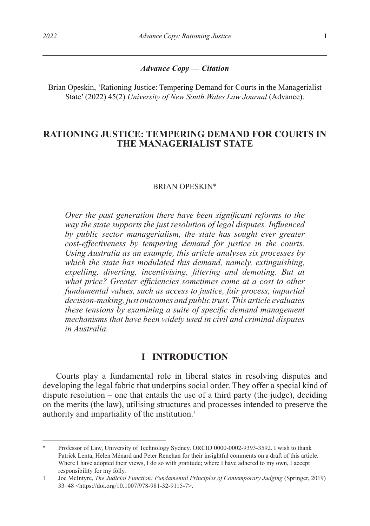#### *Advance Copy — Citation*

Brian Opeskin, 'Rationing Justice: Tempering Demand for Courts in the Managerialist State' (2022) 45(2) *University of New South Wales Law Journal* (Advance).

# **RATIONING JUSTICE: TEMPERING DEMAND FOR COURTS IN THE MANAGERIALIST STATE**

#### BRIAN OPESKIN\*

*Over the past generation there have been significant reforms to the way the state supports the just resolution of legal disputes. Influenced by public sector managerialism, the state has sought ever greater cost-effectiveness by tempering demand for justice in the courts. Using Australia as an example, this article analyses six processes by which the state has modulated this demand, namely, extinguishing, expelling, diverting, incentivising, filtering and demoting. But at*  what price? Greater efficiencies sometimes come at a cost to other *fundamental values, such as access to justice, fair process, impartial decision-making, just outcomes and public trust. This article evaluates these tensions by examining a suite of specific demand management mechanisms that have been widely used in civil and criminal disputes in Australia.*

## **I INTRODUCTION**

Courts play a fundamental role in liberal states in resolving disputes and developing the legal fabric that underpins social order. They offer a special kind of dispute resolution – one that entails the use of a third party (the judge), deciding on the merits (the law), utilising structures and processes intended to preserve the authority and impartiality of the institution.<sup>1</sup>

Professor of Law, University of Technology Sydney. ORCID 0000-0002-9393-3592. I wish to thank Patrick Lenta, Helen Ménard and Peter Renehan for their insightful comments on a draft of this article. Where I have adopted their views, I do so with gratitude; where I have adhered to my own, I accept responsibility for my folly.

<sup>1</sup> Joe McIntyre, *The Judicial Function: Fundamental Principles of Contemporary Judging* (Springer, 2019) 33–48 <https://doi.org/10.1007/978-981-32-9115-7>.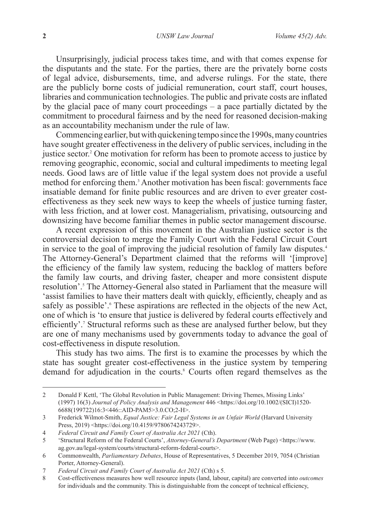Unsurprisingly, judicial process takes time, and with that comes expense for the disputants and the state. For the parties, there are the privately borne costs of legal advice, disbursements, time, and adverse rulings. For the state, there are the publicly borne costs of judicial remuneration, court staff, court houses, libraries and communication technologies. The public and private costs are inflated by the glacial pace of many court proceedings – a pace partially dictated by the commitment to procedural fairness and by the need for reasoned decision-making as an accountability mechanism under the rule of law.

Commencing earlier, but with quickening tempo since the 1990s, many countries have sought greater effectiveness in the delivery of public services, including in the justice sector.2 One motivation for reform has been to promote access to justice by removing geographic, economic, social and cultural impediments to meeting legal needs. Good laws are of little value if the legal system does not provide a useful method for enforcing them.<sup>3</sup> Another motivation has been fiscal: governments face insatiable demand for finite public resources and are driven to ever greater costeffectiveness as they seek new ways to keep the wheels of justice turning faster, with less friction, and at lower cost. Managerialism, privatising, outsourcing and downsizing have become familiar themes in public sector management discourse.

A recent expression of this movement in the Australian justice sector is the controversial decision to merge the Family Court with the Federal Circuit Court in service to the goal of improving the judicial resolution of family law disputes.<sup>4</sup> The Attorney-General's Department claimed that the reforms will '[improve] the efficiency of the family law system, reducing the backlog of matters before the family law courts, and driving faster, cheaper and more consistent dispute resolution'.<sup>5</sup> The Attorney-General also stated in Parliament that the measure will 'assist families to have their matters dealt with quickly, efficiently, cheaply and as safely as possible'.<sup>6</sup> These aspirations are reflected in the objects of the new Act, one of which is 'to ensure that justice is delivered by federal courts effectively and efficiently'.<sup>7</sup> Structural reforms such as these are analysed further below, but they are one of many mechanisms used by governments today to advance the goal of cost-effectiveness in dispute resolution.

This study has two aims. The first is to examine the processes by which the state has sought greater cost-effectiveness in the justice system by tempering demand for adjudication in the courts.<sup>8</sup> Courts often regard themselves as the

<sup>2</sup> Donald F Kettl, 'The Global Revolution in Public Management: Driving Themes, Missing Links' (1997) 16(3) *Journal of Policy Analysis and Management* 446 <https://doi.org/10.1002/(SICI)1520- 6688(199722)16:3<446::AID-PAM5>3.0.CO;2-H>.

<sup>3</sup> Frederick Wilmot-Smith, *Equal Justice: Fair Legal Systems in an Unfair World* (Harvard University Press, 2019) <https://doi.org/10.4159/9780674243729>.

<sup>4</sup> *Federal Circuit and Family Court of Australia Act 2021* (Cth).

<sup>5</sup> 'Structural Reform of the Federal Courts', *Attorney-General's Department* (Web Page) <https://www. ag.gov.au/legal-system/courts/structural-reform-federal-courts>.

<sup>6</sup> Commonwealth, *Parliamentary Debates*, House of Representatives, 5 December 2019, 7054 (Christian Porter, Attorney-General).

<sup>7</sup> *Federal Circuit and Family Court of Australia Act 2021* (Cth) s 5.

<sup>8</sup> Cost-effectiveness measures how well resource inputs (land, labour, capital) are converted into *outcomes* for individuals and the community. This is distinguishable from the concept of technical efficiency,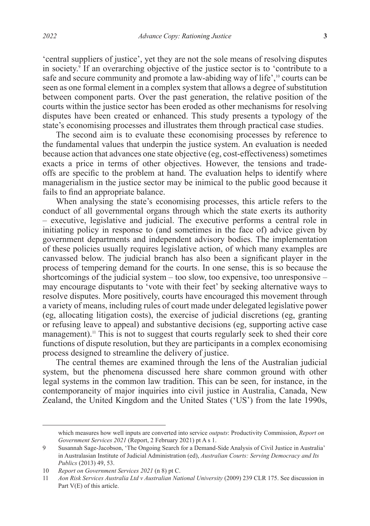'central suppliers of justice', yet they are not the sole means of resolving disputes in society.9 If an overarching objective of the justice sector is to 'contribute to a safe and secure community and promote a law-abiding way of life',<sup>10</sup> courts can be seen as one formal element in a complex system that allows a degree of substitution between component parts. Over the past generation, the relative position of the courts within the justice sector has been eroded as other mechanisms for resolving disputes have been created or enhanced. This study presents a typology of the state's economising processes and illustrates them through practical case studies.

The second aim is to evaluate these economising processes by reference to the fundamental values that underpin the justice system. An evaluation is needed because action that advances one state objective (eg, cost-effectiveness) sometimes exacts a price in terms of other objectives. However, the tensions and tradeoffs are specific to the problem at hand. The evaluation helps to identify where managerialism in the justice sector may be inimical to the public good because it fails to find an appropriate balance.

When analysing the state's economising processes, this article refers to the conduct of all governmental organs through which the state exerts its authority – executive, legislative and judicial. The executive performs a central role in initiating policy in response to (and sometimes in the face of) advice given by government departments and independent advisory bodies. The implementation of these policies usually requires legislative action, of which many examples are canvassed below. The judicial branch has also been a significant player in the process of tempering demand for the courts. In one sense, this is so because the shortcomings of the judicial system – too slow, too expensive, too unresponsive – may encourage disputants to 'vote with their feet' by seeking alternative ways to resolve disputes. More positively, courts have encouraged this movement through a variety of means, including rules of court made under delegated legislative power (eg, allocating litigation costs), the exercise of judicial discretions (eg, granting or refusing leave to appeal) and substantive decisions (eg, supporting active case management).<sup>11</sup> This is not to suggest that courts regularly seek to shed their core functions of dispute resolution, but they are participants in a complex economising process designed to streamline the delivery of justice.

The central themes are examined through the lens of the Australian judicial system, but the phenomena discussed here share common ground with other legal systems in the common law tradition. This can be seen, for instance, in the contemporaneity of major inquiries into civil justice in Australia, Canada, New Zealand, the United Kingdom and the United States ('US') from the late 1990s,

which measures how well inputs are converted into service *outputs*: Productivity Commission, *Report on Government Services 2021* (Report, 2 February 2021) pt A s 1.

<sup>9</sup> Susannah Sage-Jacobson, 'The Ongoing Search for a Demand-Side Analysis of Civil Justice in Australia' in Australasian Institute of Judicial Administration (ed), *Australian Courts: Serving Democracy and Its Publics* (2013) 49, 53.

<sup>10</sup> *Report on Government Services 2021* (n 8) pt C.

<sup>11</sup> *Aon Risk Services Australia Ltd v Australian National University* (2009) 239 CLR 175. See discussion in Part V(E) of this article.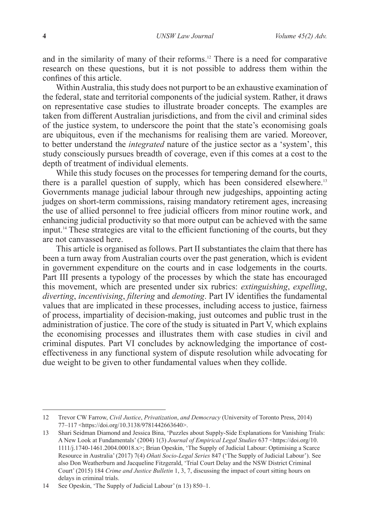and in the similarity of many of their reforms.12 There is a need for comparative research on these questions, but it is not possible to address them within the confines of this article.

Within Australia, this study does not purport to be an exhaustive examination of the federal, state and territorial components of the judicial system. Rather, it draws on representative case studies to illustrate broader concepts. The examples are taken from different Australian jurisdictions, and from the civil and criminal sides of the justice system, to underscore the point that the state's economising goals are ubiquitous, even if the mechanisms for realising them are varied. Moreover, to better understand the *integrated* nature of the justice sector as a 'system', this study consciously pursues breadth of coverage, even if this comes at a cost to the depth of treatment of individual elements.

While this study focuses on the processes for tempering demand for the courts, there is a parallel question of supply, which has been considered elsewhere.<sup>13</sup> Governments manage judicial labour through new judgeships, appointing acting judges on short-term commissions, raising mandatory retirement ages, increasing the use of allied personnel to free judicial officers from minor routine work, and enhancing judicial productivity so that more output can be achieved with the same input.14 These strategies are vital to the efficient functioning of the courts, but they are not canvassed here.

This article is organised as follows. Part II substantiates the claim that there has been a turn away from Australian courts over the past generation, which is evident in government expenditure on the courts and in case lodgements in the courts. Part III presents a typology of the processes by which the state has encouraged this movement, which are presented under six rubrics: *extinguishing*, *expelling*, *diverting*, *incentivising*, *filtering* and *demoting*. Part IV identifies the fundamental values that are implicated in these processes, including access to justice, fairness of process, impartiality of decision-making, just outcomes and public trust in the administration of justice. The core of the study is situated in Part  $V$ , which explains the economising processes and illustrates them with case studies in civil and criminal disputes. Part VI concludes by acknowledging the importance of costeffectiveness in any functional system of dispute resolution while advocating for due weight to be given to other fundamental values when they collide.

<sup>12</sup> Trevor CW Farrow, *Civil Justice*, *Privatization*, *and Democracy* (University of Toronto Press, 2014) 77–117 <https://doi.org/10.3138/9781442663640>.

<sup>13</sup> Shari Seidman Diamond and Jessica Bina, 'Puzzles about Supply-Side Explanations for Vanishing Trials: A New Look at Fundamentals' (2004) 1(3) *Journal of Empirical Legal Studies* 637 <https://doi.org/10. 1111/j.1740-1461.2004.00018.x>; Brian Opeskin, 'The Supply of Judicial Labour: Optimising a Scarce Resource in Australia' (2017) 7(4) *Oñati Socio-Legal Series* 847 ('The Supply of Judicial Labour'). See also Don Weatherburn and Jacqueline Fitzgerald, 'Trial Court Delay and the NSW District Criminal Court' (2015) 184 *Crime and Justice Bulletin* 1, 3, 7, discussing the impact of court sitting hours on delays in criminal trials.

<sup>14</sup> See Opeskin, 'The Supply of Judicial Labour' (n 13) 850–1.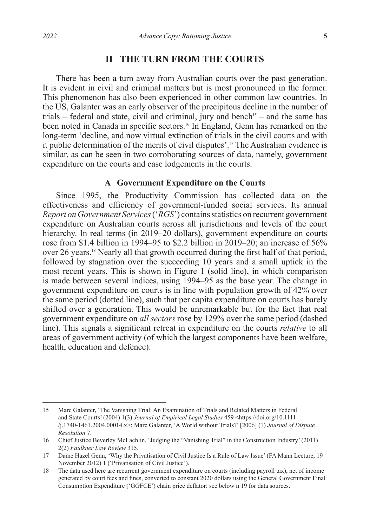# **II THE TURN FROM THE COURTS**

There has been a turn away from Australian courts over the past generation. It is evident in civil and criminal matters but is most pronounced in the former. This phenomenon has also been experienced in other common law countries. In the US, Galanter was an early observer of the precipitous decline in the number of trials – federal and state, civil and criminal, jury and bench<sup>15</sup> – and the same has been noted in Canada in specific sectors.<sup>16</sup> In England, Genn has remarked on the long-term 'decline, and now virtual extinction of trials in the civil courts and with it public determination of the merits of civil disputes'.17 The Australian evidence is similar, as can be seen in two corroborating sources of data, namely, government expenditure on the courts and case lodgements in the courts.

### **A Government Expenditure on the Courts**

Since 1995, the Productivity Commission has collected data on the effectiveness and efficiency of government-funded social services. Its annual *Report on Government Services* ('*RGS*') contains statistics on recurrent government expenditure on Australian courts across all jurisdictions and levels of the court hierarchy. In real terms (in 2019–20 dollars), government expenditure on courts rose from \$1.4 billion in 1994–95 to \$2.2 billion in 2019–20; an increase of 56% over 26 years.18 Nearly all that growth occurred during the first half of that period, followed by stagnation over the succeeding 10 years and a small uptick in the most recent years. This is shown in Figure 1 (solid line), in which comparison is made between several indices, using 1994–95 as the base year. The change in government expenditure on courts is in line with population growth of 42% over the same period (dotted line), such that per capita expenditure on courts has barely shifted over a generation. This would be unremarkable but for the fact that real government expenditure on *all sectors* rose by 129% over the same period (dashed line). This signals a significant retreat in expenditure on the courts *relative* to all areas of government activity (of which the largest components have been welfare, health, education and defence).

<sup>15</sup> Marc Galanter, 'The Vanishing Trial: An Examination of Trials and Related Matters in Federal and State Courts' (2004) 1(3) *Journal of Empirical Legal Studies* 459 <https://doi.org/10.1111 /j.1740-1461.2004.00014.x>; Marc Galanter, 'A World without Trials?' [2006] (1) *Journal of Dispute Resolution* 7.

<sup>16</sup> Chief Justice Beverley McLachlin, 'Judging the "Vanishing Trial" in the Construction Industry' (2011) 2(2) *Faulkner Law Review* 315.

<sup>17</sup> Dame Hazel Genn, 'Why the Privatisation of Civil Justice Is a Rule of Law Issue' (FA Mann Lecture, 19 November 2012) 1 ('Privatisation of Civil Justice').

<sup>18</sup> The data used here are recurrent government expenditure on courts (including payroll tax), net of income generated by court fees and fines, converted to constant 2020 dollars using the General Government Final Consumption Expenditure ('GGFCE') chain price deflator: see below n 19 for data sources.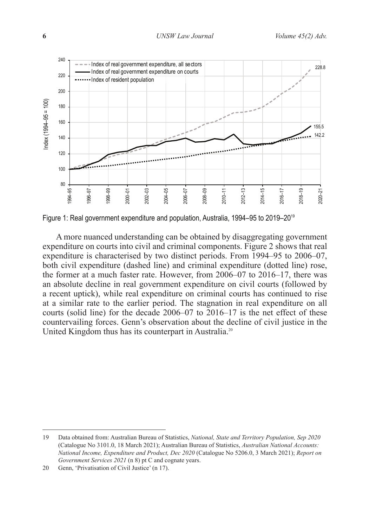

Figure 1: Real government expenditure and population, Australia, 1994–95 to 2019–2019

A more nuanced understanding can be obtained by disaggregating government expenditure on courts into civil and criminal components. Figure 2 shows that real expenditure is characterised by two distinct periods. From 1994–95 to 2006–07, both civil expenditure (dashed line) and criminal expenditure (dotted line) rose, the former at a much faster rate. However, from 2006–07 to 2016–17, there was an absolute decline in real government expenditure on civil courts (followed by a recent uptick), while real expenditure on criminal courts has continued to rise at a similar rate to the earlier period. The stagnation in real expenditure on all courts (solid line) for the decade 2006–07 to 2016–17 is the net effect of these countervailing forces. Genn's observation about the decline of civil justice in the United Kingdom thus has its counterpart in Australia.<sup>20</sup>

<sup>19</sup> Data obtained from: Australian Bureau of Statistics, *National, State and Territory Population, Sep 2020* (Catalogue No 3101.0, 18 March 2021); Australian Bureau of Statistics, *Australian National Accounts: National Income, Expenditure and Product, Dec 2020* (Catalogue No 5206.0, 3 March 2021); *Report on Government Services 2021* (n 8) pt C and cognate years.

<sup>20</sup> Genn, 'Privatisation of Civil Justice' (n 17).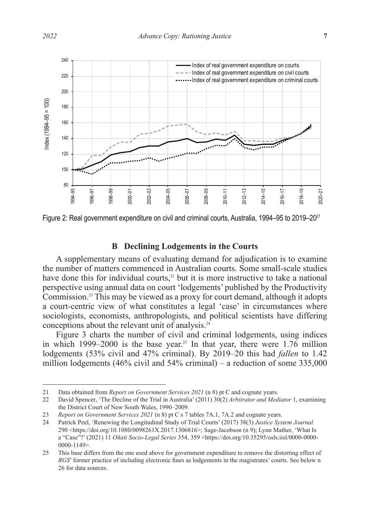

Figure 2: Real government expenditure on civil and criminal courts, Australia, 1994–95 to 2019–20<sup>21</sup>

## **B Declining Lodgements in the Courts**

A supplementary means of evaluating demand for adjudication is to examine the number of matters commenced in Australian courts. Some small-scale studies have done this for individual courts, $2<sup>2</sup>$  but it is more instructive to take a national perspective using annual data on court 'lodgements' published by the Productivity Commission.23 This may be viewed as a proxy for court demand, although it adopts a court-centric view of what constitutes a legal 'case' in circumstances where sociologists, economists, anthropologists, and political scientists have differing conceptions about the relevant unit of analysis.24

Figure 3 charts the number of civil and criminal lodgements, using indices in which 1999–2000 is the base year.<sup>25</sup> In that year, there were  $1.76$  million lodgements (53% civil and 47% criminal). By 2019–20 this had *fallen* to 1.42 million lodgements (46% civil and 54% criminal) – a reduction of some 335,000

<sup>21</sup> Data obtained from *Report on Government Services 2021* (n 8) pt C and cognate years.

<sup>22</sup> David Spencer, 'The Decline of the Trial in Australia' (2011) 30(2) *Arbitrator and Mediator* 1, examining the District Court of New South Wales, 1990–2009.

<sup>23</sup> *Report on Government Services 2021* (n 8) pt C s 7 tables 7A.1, 7A.2 and cognate years.

<sup>24</sup> Patrick Peel, 'Renewing the Longitudinal Study of Trial Courts' (2017) 38(3) *Justice System Journal* 290 <https://doi.org/10.1080/0098261X.2017.1306816>; Sage-Jacobson (n 9); Lynn Mather, 'What Is a "Case"?' (2021) 11 *Oñati Socio-Legal Series* 354, 359 <https://doi.org/10.35295/osls.iisl/0000-0000- 0000-1149>.

<sup>25</sup> This base differs from the one used above for government expenditure to remove the distorting effect of *RGS*' former practice of including electronic fines as lodgements in the magistrates' courts. See below n 26 for data sources.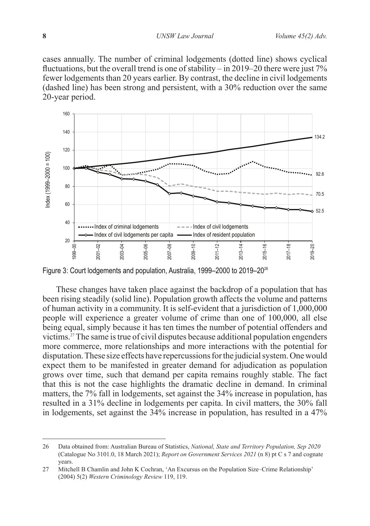cases annually. The number of criminal lodgements (dotted line) shows cyclical fluctuations, but the overall trend is one of stability – in 2019–20 there were just 7% fewer lodgements than 20 years earlier. By contrast, the decline in civil lodgements (dashed line) has been strong and persistent, with a 30% reduction over the same 20-year period.



Figure 3: Court lodgements and population, Australia, 1999–2000 to 2019–2026

These changes have taken place against the backdrop of a population that has been rising steadily (solid line). Population growth affects the volume and patterns of human activity in a community. It is self-evident that a jurisdiction of 1,000,000 people will experience a greater volume of crime than one of 100,000, all else being equal, simply because it has ten times the number of potential offenders and victims.27 The same is true of civil disputes because additional population engenders more commerce, more relationships and more interactions with the potential for disputation. These size effects have repercussions for the judicial system. One would expect them to be manifested in greater demand for adjudication as population grows over time, such that demand per capita remains roughly stable. The fact that this is not the case highlights the dramatic decline in demand. In criminal matters, the 7% fall in lodgements, set against the 34% increase in population, has resulted in a 31% decline in lodgements per capita. In civil matters, the 30% fall in lodgements, set against the 34% increase in population, has resulted in a 47%

<sup>26</sup> Data obtained from: Australian Bureau of Statistics, *National, State and Territory Population, Sep 2020* (Catalogue No 3101.0, 18 March 2021); *Report on Government Services 2021* (n 8) pt C s 7 and cognate years.

<sup>27</sup> Mitchell B Chamlin and John K Cochran, 'An Excursus on the Population Size–Crime Relationship' (2004) 5(2) *Western Criminology Review* 119, 119.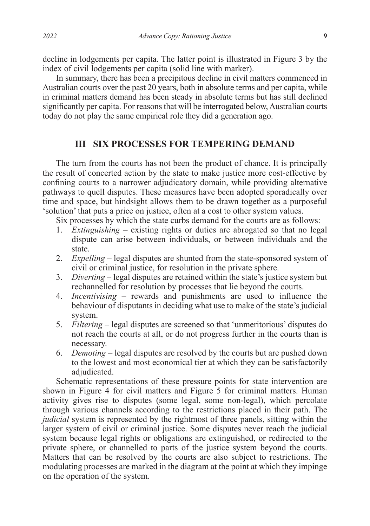decline in lodgements per capita. The latter point is illustrated in Figure 3 by the index of civil lodgements per capita (solid line with marker).

In summary, there has been a precipitous decline in civil matters commenced in Australian courts over the past 20 years, both in absolute terms and per capita, while in criminal matters demand has been steady in absolute terms but has still declined significantly per capita. For reasons that will be interrogated below, Australian courts today do not play the same empirical role they did a generation ago.

## **III SIX PROCESSES FOR TEMPERING DEMAND**

The turn from the courts has not been the product of chance. It is principally the result of concerted action by the state to make justice more cost-effective by confining courts to a narrower adjudicatory domain, while providing alternative pathways to quell disputes. These measures have been adopted sporadically over time and space, but hindsight allows them to be drawn together as a purposeful 'solution' that puts a price on justice, often at a cost to other system values.

Six processes by which the state curbs demand for the courts are as follows:

- 1. *Extinguishing* existing rights or duties are abrogated so that no legal dispute can arise between individuals, or between individuals and the state.
- 2. *Expelling* legal disputes are shunted from the state-sponsored system of civil or criminal justice, for resolution in the private sphere.
- 3. *Diverting* legal disputes are retained within the state's justice system but rechannelled for resolution by processes that lie beyond the courts.
- 4. *Incentivising* rewards and punishments are used to influence the behaviour of disputants in deciding what use to make of the state's judicial system.
- 5. *Filtering* legal disputes are screened so that 'unmeritorious' disputes do not reach the courts at all, or do not progress further in the courts than is necessary.
- 6. *Demoting* legal disputes are resolved by the courts but are pushed down to the lowest and most economical tier at which they can be satisfactorily adjudicated.

Schematic representations of these pressure points for state intervention are shown in Figure 4 for civil matters and Figure 5 for criminal matters. Human activity gives rise to disputes (some legal, some non-legal), which percolate through various channels according to the restrictions placed in their path. The *judicial* system is represented by the rightmost of three panels, sitting within the larger system of civil or criminal justice. Some disputes never reach the judicial system because legal rights or obligations are extinguished, or redirected to the private sphere, or channelled to parts of the justice system beyond the courts. Matters that can be resolved by the courts are also subject to restrictions. The modulating processes are marked in the diagram at the point at which they impinge on the operation of the system.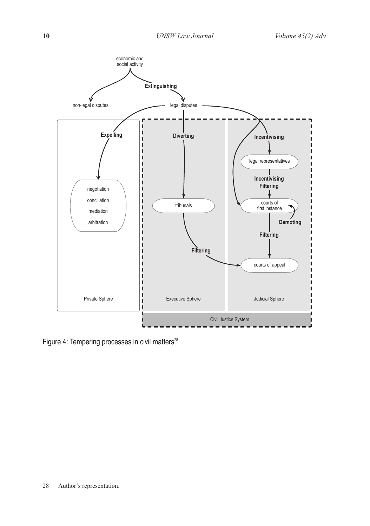

Figure 4: Tempering processes in civil matters<sup>28</sup>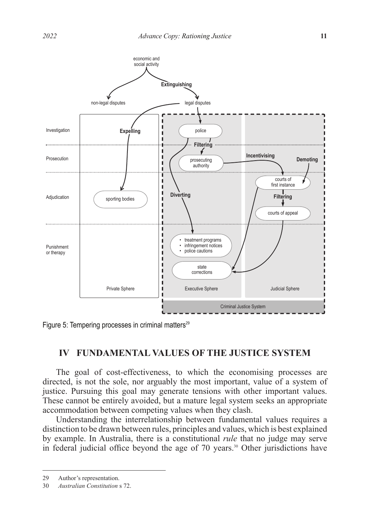

Figure 5: Tempering processes in criminal matters<sup>29</sup>

# **IV FUNDAMENTAL VALUES OF THE JUSTICE SYSTEM**

The goal of cost-effectiveness, to which the economising processes are directed, is not the sole, nor arguably the most important, value of a system of justice. Pursuing this goal may generate tensions with other important values. These cannot be entirely avoided, but a mature legal system seeks an appropriate accommodation between competing values when they clash.

Understanding the interrelationship between fundamental values requires a distinction to be drawn between rules, principles and values, which is best explained by example. In Australia, there is a constitutional *rule* that no judge may serve in federal judicial office beyond the age of 70 years.<sup>30</sup> Other jurisdictions have

<sup>29</sup> Author's representation.

<sup>30</sup> *Australian Constitution* s 72.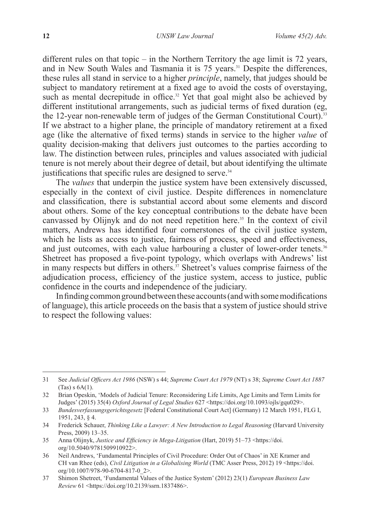different rules on that topic – in the Northern Territory the age limit is  $72$  years, and in New South Wales and Tasmania it is 75 years.<sup>31</sup> Despite the differences, these rules all stand in service to a higher *principle*, namely, that judges should be subject to mandatory retirement at a fixed age to avoid the costs of overstaying, such as mental decrepitude in office.<sup>32</sup> Yet that goal might also be achieved by different institutional arrangements, such as judicial terms of fixed duration (eg, the 12-year non-renewable term of judges of the German Constitutional Court).<sup>33</sup> If we abstract to a higher plane, the principle of mandatory retirement at a fixed age (like the alternative of fixed terms) stands in service to the higher *value* of quality decision-making that delivers just outcomes to the parties according to law. The distinction between rules, principles and values associated with judicial tenure is not merely about their degree of detail, but about identifying the ultimate justifications that specific rules are designed to serve. $34$ 

The *values* that underpin the justice system have been extensively discussed, especially in the context of civil justice. Despite differences in nomenclature and classification, there is substantial accord about some elements and discord about others. Some of the key conceptual contributions to the debate have been canvassed by Olijnyk and do not need repetition here.<sup>35</sup> In the context of civil matters, Andrews has identified four cornerstones of the civil justice system, which he lists as access to justice, fairness of process, speed and effectiveness, and just outcomes, with each value harbouring a cluster of lower-order tenets.<sup>36</sup> Shetreet has proposed a five-point typology, which overlaps with Andrews' list in many respects but differs in others.<sup>37</sup> Shetreet's values comprise fairness of the adjudication process, efficiency of the justice system, access to justice, public confidence in the courts and independence of the judiciary.

In finding common ground between these accounts (and with some modifications of language), this article proceeds on the basis that a system of justice should strive to respect the following values:

<sup>31</sup> See *Judicial Officers Act 1986* (NSW) s 44; *Supreme Court Act 1979* (NT) s 38; *Supreme Court Act 1887* (Tas) s 6A(1).

<sup>32</sup> Brian Opeskin, 'Models of Judicial Tenure: Reconsidering Life Limits, Age Limits and Term Limits for Judges' (2015) 35(4) *Oxford Journal of Legal Studies* 627 <https://doi.org/10.1093/ojls/gqu029>.

<sup>33</sup> *Bundesverfassungsgerichtsgesetz* [Federal Constitutional Court Act] (Germany) 12 March 1951, FLG I, 1951, 243, § 4.

<sup>34</sup> Frederick Schauer, *Thinking Like a Lawyer: A New Introduction to Legal Reasoning* (Harvard University Press, 2009) 13–35.

<sup>35</sup> Anna Olijnyk, *Justice and Efficiency in Mega-Litigation* (Hart, 2019) 51–73 <https://doi. org/10.5040/9781509910922>.

<sup>36</sup> Neil Andrews, 'Fundamental Principles of Civil Procedure: Order Out of Chaos' in XE Kramer and CH van Rhee (eds), *Civil Litigation in a Globalising World* (TMC Asser Press, 2012) 19 <https://doi. org/10.1007/978-90-6704-817-0\_2>.

<sup>37</sup> Shimon Shetreet, 'Fundamental Values of the Justice System' (2012) 23(1) *European Business Law Review* 61 <https://doi.org/10.2139/ssrn.1837486>.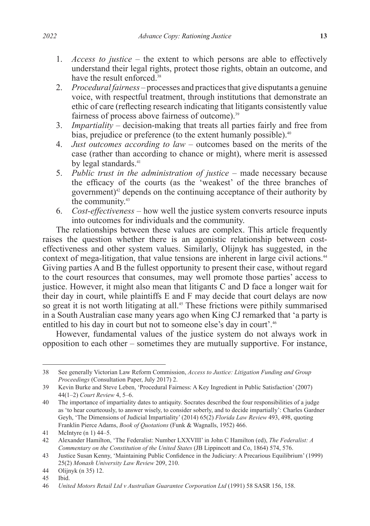- 1. *Access to justice* the extent to which persons are able to effectively understand their legal rights, protect those rights, obtain an outcome, and have the result enforced.<sup>38</sup>
- 2. *Procedural fairness* processes and practices that give disputants a genuine voice, with respectful treatment, through institutions that demonstrate an ethic of care (reflecting research indicating that litigants consistently value fairness of process above fairness of outcome).<sup>39</sup>
- 3. *Impartiality* decision-making that treats all parties fairly and free from bias, prejudice or preference (to the extent humanly possible).<sup>40</sup>
- 4. *Just outcomes according to law* outcomes based on the merits of the case (rather than according to chance or might), where merit is assessed by legal standards.<sup>41</sup>
- 5. *Public trust in the administration of justice* made necessary because the efficacy of the courts (as the 'weakest' of the three branches of government) $42$  depends on the continuing acceptance of their authority by the community.<sup>43</sup>
- 6. *Cost-effectiveness* how well the justice system converts resource inputs into outcomes for individuals and the community.

The relationships between these values are complex. This article frequently raises the question whether there is an agonistic relationship between costeffectiveness and other system values. Similarly, Olijnyk has suggested, in the context of mega-litigation, that value tensions are inherent in large civil actions.<sup>44</sup> Giving parties A and B the fullest opportunity to present their case, without regard to the court resources that consumes, may well promote those parties' access to justice. However, it might also mean that litigants C and D face a longer wait for their day in court, while plaintiffs E and F may decide that court delays are now so great it is not worth litigating at all.<sup>45</sup> These frictions were pithily summarised in a South Australian case many years ago when King CJ remarked that 'a party is entitled to his day in court but not to someone else's day in court'.<sup>46</sup>

However, fundamental values of the justice system do not always work in opposition to each other – sometimes they are mutually supportive. For instance,

<sup>38</sup> See generally Victorian Law Reform Commission, *Access to Justice: Litigation Funding and Group Proceedings* (Consultation Paper, July 2017) 2.

<sup>39</sup> Kevin Burke and Steve Leben, 'Procedural Fairness: A Key Ingredient in Public Satisfaction' (2007) 44(1–2) *Court Review* 4, 5–6.

<sup>40</sup> The importance of impartiality dates to antiquity. Socrates described the four responsibilities of a judge as 'to hear courteously, to answer wisely, to consider soberly, and to decide impartially': Charles Gardner Geyh, 'The Dimensions of Judicial Impartiality' (2014) 65(2) *Florida Law Review* 493, 498, quoting Franklin Pierce Adams, *Book of Quotations* (Funk & Wagnalls, 1952) 466.

<sup>41</sup> McIntyre (n 1) 44–5.

<sup>42</sup> Alexander Hamilton, 'The Federalist: Number LXXVIII' in John C Hamilton (ed), *The Federalist: A Commentary on the Constitution of the United States* (JB Lippincott and Co, 1864) 574, 576.

<sup>43</sup> Justice Susan Kenny, 'Maintaining Public Confidence in the Judiciary: A Precarious Equilibrium' (1999) 25(2) *Monash University Law Review* 209, 210.

<sup>44</sup> Olijnyk (n 35) 12.

<sup>45</sup> Ibid.

<sup>46</sup> *United Motors Retail Ltd v Australian Guarantee Corporation Ltd* (1991) 58 SASR 156, 158.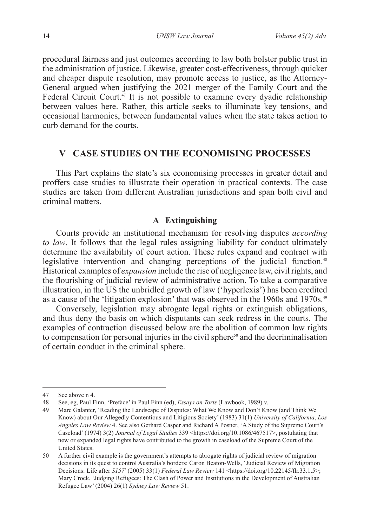procedural fairness and just outcomes according to law both bolster public trust in the administration of justice. Likewise, greater cost-effectiveness, through quicker and cheaper dispute resolution, may promote access to justice, as the Attorney-General argued when justifying the 2021 merger of the Family Court and the Federal Circuit Court.<sup>47</sup> It is not possible to examine every dyadic relationship between values here. Rather, this article seeks to illuminate key tensions, and occasional harmonies, between fundamental values when the state takes action to curb demand for the courts.

## **V CASE STUDIES ON THE ECONOMISING PROCESSES**

This Part explains the state's six economising processes in greater detail and proffers case studies to illustrate their operation in practical contexts. The case studies are taken from different Australian jurisdictions and span both civil and criminal matters.

## **A Extinguishing**

Courts provide an institutional mechanism for resolving disputes *according to law*. It follows that the legal rules assigning liability for conduct ultimately determine the availability of court action. These rules expand and contract with legislative intervention and changing perceptions of the judicial function.<sup>48</sup> Historical examples of *expansion* include the rise of negligence law, civil rights, and the flourishing of judicial review of administrative action. To take a comparative illustration, in the US the unbridled growth of law ('hyperlexis') has been credited as a cause of the 'litigation explosion' that was observed in the 1960s and 1970s.<sup>49</sup>

Conversely, legislation may abrogate legal rights or extinguish obligations, and thus deny the basis on which disputants can seek redress in the courts. The examples of contraction discussed below are the abolition of common law rights to compensation for personal injuries in the civil sphere $50$  and the decriminalisation of certain conduct in the criminal sphere.

<sup>47</sup> See above n 4.

<sup>48</sup> See, eg, Paul Finn, 'Preface' in Paul Finn (ed), *Essays on Torts* (Lawbook, 1989) v.

<sup>49</sup> Marc Galanter, 'Reading the Landscape of Disputes: What We Know and Don't Know (and Think We Know) about Our Allegedly Contentious and Litigious Society' (1983) 31(1) *University of California*, *Los Angeles Law Review* 4. See also Gerhard Casper and Richard A Posner, 'A Study of the Supreme Court's Caseload' (1974) 3(2) *Journal of Legal Studies* 339 <https://doi.org/10.1086/467517>, postulating that new or expanded legal rights have contributed to the growth in caseload of the Supreme Court of the United States.

<sup>50</sup> A further civil example is the government's attempts to abrogate rights of judicial review of migration decisions in its quest to control Australia's borders: Caron Beaton-Wells, 'Judicial Review of Migration Decisions: Life after *S157*' (2005) 33(1) *Federal Law Review* 141 <https://doi.org/10.22145/flr.33.1.5>; Mary Crock, 'Judging Refugees: The Clash of Power and Institutions in the Development of Australian Refugee Law' (2004) 26(1) *Sydney Law Review* 51.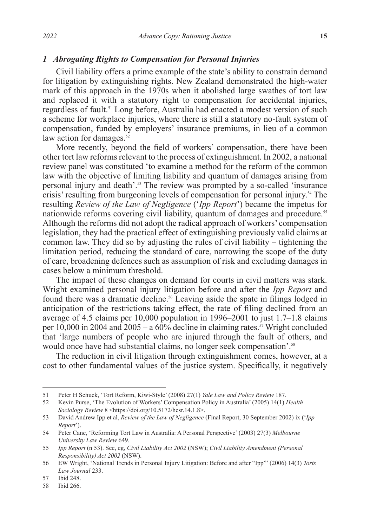#### *1 Abrogating Rights to Compensation for Personal Injuries*

Civil liability offers a prime example of the state's ability to constrain demand for litigation by extinguishing rights. New Zealand demonstrated the high-water mark of this approach in the 1970s when it abolished large swathes of tort law and replaced it with a statutory right to compensation for accidental injuries, regardless of fault.51 Long before, Australia had enacted a modest version of such a scheme for workplace injuries, where there is still a statutory no-fault system of compensation, funded by employers' insurance premiums, in lieu of a common law action for damages.<sup>52</sup>

More recently, beyond the field of workers' compensation, there have been other tort law reforms relevant to the process of extinguishment. In 2002, a national review panel was constituted 'to examine a method for the reform of the common law with the objective of limiting liability and quantum of damages arising from personal injury and death'.53 The review was prompted by a so-called 'insurance crisis' resulting from burgeoning levels of compensation for personal injury.54 The resulting *Review of the Law of Negligence* ('*Ipp Report*') became the impetus for nationwide reforms covering civil liability, quantum of damages and procedure.<sup>55</sup> Although the reforms did not adopt the radical approach of workers' compensation legislation, they had the practical effect of extinguishing previously valid claims at common law. They did so by adjusting the rules of civil liability – tightening the limitation period, reducing the standard of care, narrowing the scope of the duty of care, broadening defences such as assumption of risk and excluding damages in cases below a minimum threshold.

The impact of these changes on demand for courts in civil matters was stark. Wright examined personal injury litigation before and after the *Ipp Report* and found there was a dramatic decline.<sup>56</sup> Leaving aside the spate in filings lodged in anticipation of the restrictions taking effect, the rate of filing declined from an average of 4.5 claims per 10,000 population in 1996–2001 to just 1.7–1.8 claims per 10,000 in 2004 and  $2005 - a 60\%$  decline in claiming rates.<sup>57</sup> Wright concluded that 'large numbers of people who are injured through the fault of others, and would once have had substantial claims, no longer seek compensation'.<sup>58</sup>

The reduction in civil litigation through extinguishment comes, however, at a cost to other fundamental values of the justice system. Specifically, it negatively

<sup>51</sup> Peter H Schuck, 'Tort Reform, Kiwi-Style' (2008) 27(1) *Yale Law and Policy Review* 187.

<sup>52</sup> Kevin Purse, 'The Evolution of Workers' Compensation Policy in Australia' (2005) 14(1) *Health Sociology Review* 8 <https://doi.org/10.5172/hesr.14.1.8>.

<sup>53</sup> David Andrew Ipp et al, *Review of the Law of Negligence* (Final Report, 30 September 2002) ix ('*Ipp Report*').

<sup>54</sup> Peter Cane, 'Reforming Tort Law in Australia: A Personal Perspective' (2003) 27(3) *Melbourne University Law Review* 649.

<sup>55</sup> *Ipp Report* (n 53). See, eg, *Civil Liability Act 2002* (NSW); *Civil Liability Amendment (Personal Responsibility) Act 2002* (NSW).

<sup>56</sup> EW Wright, 'National Trends in Personal Injury Litigation: Before and after "Ipp"' (2006) 14(3) *Torts Law Journal* 233.

<sup>57</sup> Ibid 248.

<sup>58</sup> Ibid 266.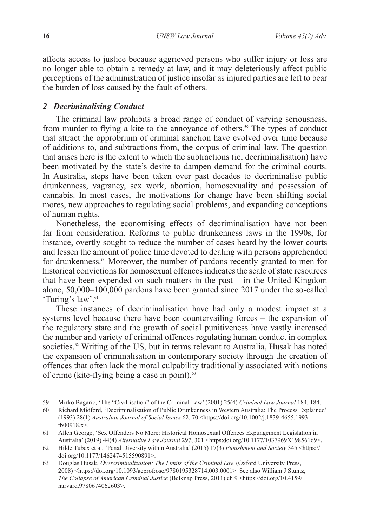affects access to justice because aggrieved persons who suffer injury or loss are no longer able to obtain a remedy at law, and it may deleteriously affect public perceptions of the administration of justice insofar as injured parties are left to bear the burden of loss caused by the fault of others.

## *2 Decriminalising Conduct*

The criminal law prohibits a broad range of conduct of varying seriousness, from murder to flying a kite to the annoyance of others.<sup>59</sup> The types of conduct that attract the opprobrium of criminal sanction have evolved over time because of additions to, and subtractions from, the corpus of criminal law. The question that arises here is the extent to which the subtractions (ie, decriminalisation) have been motivated by the state's desire to dampen demand for the criminal courts. In Australia, steps have been taken over past decades to decriminalise public drunkenness, vagrancy, sex work, abortion, homosexuality and possession of cannabis. In most cases, the motivations for change have been shifting social mores, new approaches to regulating social problems, and expanding conceptions of human rights.

Nonetheless, the economising effects of decriminalisation have not been far from consideration. Reforms to public drunkenness laws in the 1990s, for instance, overtly sought to reduce the number of cases heard by the lower courts and lessen the amount of police time devoted to dealing with persons apprehended for drunkenness.<sup>60</sup> Moreover, the number of pardons recently granted to men for historical convictions for homosexual offences indicates the scale of state resources that have been expended on such matters in the past – in the United Kingdom alone, 50,000–100,000 pardons have been granted since 2017 under the so-called 'Turing's law'.<sup>61</sup>

These instances of decriminalisation have had only a modest impact at a systems level because there have been countervailing forces – the expansion of the regulatory state and the growth of social punitiveness have vastly increased the number and variety of criminal offences regulating human conduct in complex societies.<sup>62</sup> Writing of the US, but in terms relevant to Australia, Husak has noted the expansion of criminalisation in contemporary society through the creation of offences that often lack the moral culpability traditionally associated with notions of crime (kite-flying being a case in point).<sup>63</sup>

<sup>59</sup> Mirko Bagaric, 'The "Civil-isation" of the Criminal Law' (2001) 25(4) *Criminal Law Journal* 184, 184.

<sup>60</sup> Richard Midford, 'Decriminalisation of Public Drunkenness in Western Australia: The Process Explained' (1993) 28(1) *Australian Journal of Social Issues* 62, 70 <https://doi.org/10.1002/j.1839-4655.1993. tb00918.x>.

<sup>61</sup> Allen George, 'Sex Offenders No More: Historical Homosexual Offences Expungement Legislation in Australia' (2019) 44(4) *Alternative Law Journal* 297, 301 <https:doi.org/10.1177/1037969X19856169>.

<sup>62</sup> Hilde Tubex et al, 'Penal Diversity within Australia' (2015) 17(3) *Punishment and Society* 345 <https:// doi.org/10.1177/1462474515590891>.

<sup>63</sup> Douglas Husak, *Overcriminalization: The Limits of the Criminal Law* (Oxford University Press, 2008) <https://doi.org/10.1093/acprof:oso/9780195328714.003.0001>. See also William J Stuntz, *The Collapse of American Criminal Justice* (Belknap Press, 2011) ch 9 <https://doi.org/10.4159/ harvard.9780674062603>.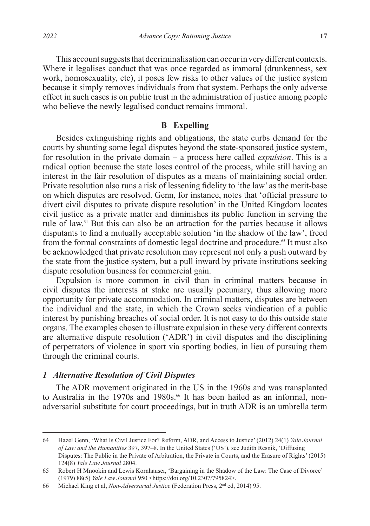This account suggests that decriminalisation can occur in very different contexts. Where it legalises conduct that was once regarded as immoral (drunkenness, sex work, homosexuality, etc), it poses few risks to other values of the justice system because it simply removes individuals from that system. Perhaps the only adverse effect in such cases is on public trust in the administration of justice among people who believe the newly legalised conduct remains immoral.

### **B Expelling**

Besides extinguishing rights and obligations, the state curbs demand for the courts by shunting some legal disputes beyond the state-sponsored justice system, for resolution in the private domain – a process here called *expulsion*. This is a radical option because the state loses control of the process, while still having an interest in the fair resolution of disputes as a means of maintaining social order. Private resolution also runs a risk of lessening fidelity to 'the law' as the merit-base on which disputes are resolved. Genn, for instance, notes that 'official pressure to divert civil disputes to private dispute resolution' in the United Kingdom locates civil justice as a private matter and diminishes its public function in serving the rule of law.64 But this can also be an attraction for the parties because it allows disputants to find a mutually acceptable solution 'in the shadow of the law', freed from the formal constraints of domestic legal doctrine and procedure.<sup>65</sup> It must also be acknowledged that private resolution may represent not only a push outward by the state from the justice system, but a pull inward by private institutions seeking dispute resolution business for commercial gain.

Expulsion is more common in civil than in criminal matters because in civil disputes the interests at stake are usually pecuniary, thus allowing more opportunity for private accommodation. In criminal matters, disputes are between the individual and the state, in which the Crown seeks vindication of a public interest by punishing breaches of social order. It is not easy to do this outside state organs. The examples chosen to illustrate expulsion in these very different contexts are alternative dispute resolution ('ADR') in civil disputes and the disciplining of perpetrators of violence in sport via sporting bodies, in lieu of pursuing them through the criminal courts.

### *1 Alternative Resolution of Civil Disputes*

The ADR movement originated in the US in the 1960s and was transplanted to Australia in the 1970s and 1980s.<sup>66</sup> It has been hailed as an informal, nonadversarial substitute for court proceedings, but in truth ADR is an umbrella term

<sup>64</sup> Hazel Genn, 'What Is Civil Justice For? Reform, ADR, and Access to Justice' (2012) 24(1) *Yale Journal of Law and the Humanities* 397, 397–8. In the United States ('US'), see Judith Resnik, 'Diffusing Disputes: The Public in the Private of Arbitration, the Private in Courts, and the Erasure of Rights' (2015) 124(8) *Yale Law Journal* 2804.

<sup>65</sup> Robert H Mnookin and Lewis Kornhauser, 'Bargaining in the Shadow of the Law: The Case of Divorce' (1979) 88(5) *Yale Law Journal* 950 <https://doi.org/10.2307/795824>.

<sup>66</sup> Michael King et al, *Non-Adversarial Justice* (Federation Press, 2nd ed, 2014) 95.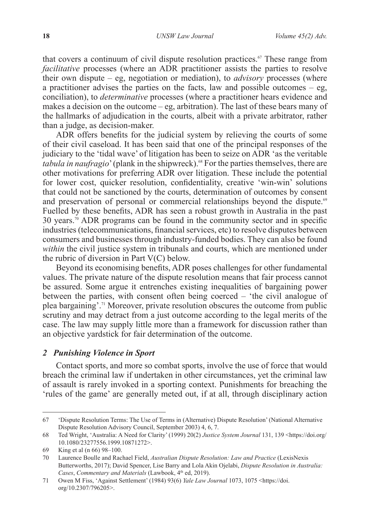that covers a continuum of civil dispute resolution practices.<sup>67</sup> These range from *facilitative* processes (where an ADR practitioner assists the parties to resolve their own dispute – eg, negotiation or mediation), to *advisory* processes (where a practitioner advises the parties on the facts, law and possible outcomes – eg, conciliation), to *determinative* processes (where a practitioner hears evidence and makes a decision on the outcome – eg, arbitration). The last of these bears many of the hallmarks of adjudication in the courts, albeit with a private arbitrator, rather than a judge, as decision-maker.

ADR offers benefits for the judicial system by relieving the courts of some of their civil caseload. It has been said that one of the principal responses of the judiciary to the 'tidal wave' of litigation has been to seize on ADR 'as the veritable *tabula in naufragio*' (plank in the shipwreck).<sup>68</sup> For the parties themselves, there are other motivations for preferring ADR over litigation. These include the potential for lower cost, quicker resolution, confidentiality, creative 'win-win' solutions that could not be sanctioned by the courts, determination of outcomes by consent and preservation of personal or commercial relationships beyond the dispute.<sup>69</sup> Fuelled by these benefits, ADR has seen a robust growth in Australia in the past 30 years.<sup>70</sup> ADR programs can be found in the community sector and in specific industries (telecommunications, financial services, etc) to resolve disputes between consumers and businesses through industry-funded bodies. They can also be found *within* the civil justice system in tribunals and courts, which are mentioned under the rubric of diversion in Part  $V(C)$  below.

Beyond its economising benefits, ADR poses challenges for other fundamental values. The private nature of the dispute resolution means that fair process cannot be assured. Some argue it entrenches existing inequalities of bargaining power between the parties, with consent often being coerced – 'the civil analogue of plea bargaining'.71 Moreover, private resolution obscures the outcome from public scrutiny and may detract from a just outcome according to the legal merits of the case. The law may supply little more than a framework for discussion rather than an objective yardstick for fair determination of the outcome.

#### *2 Punishing Violence in Sport*

Contact sports, and more so combat sports, involve the use of force that would breach the criminal law if undertaken in other circumstances, yet the criminal law of assault is rarely invoked in a sporting context. Punishments for breaching the 'rules of the game' are generally meted out, if at all, through disciplinary action

<sup>67</sup> 'Dispute Resolution Terms: The Use of Terms in (Alternative) Dispute Resolution' (National Alternative Dispute Resolution Advisory Council, September 2003) 4, 6, 7.

<sup>68</sup> Ted Wright, 'Australia: A Need for Clarity' (1999) 20(2) *Justice System Journal* 131, 139 <https://doi.org/ 10.1080/23277556.1999.10871272>.

<sup>69</sup> King et al (n 66) 98–100.

<sup>70</sup> Laurence Boulle and Rachael Field, *Australian Dispute Resolution: Law and Practice* (LexisNexis Butterworths, 2017); David Spencer, Lise Barry and Lola Akin Ojelabi, *Dispute Resolution in Australia: Cases*, *Commentary and Materials* (Lawbook, 4th ed, 2019).

<sup>71</sup> Owen M Fiss, 'Against Settlement' (1984) 93(6) *Yale Law Journal* 1073, 1075 <https://doi. org/10.2307/796205>.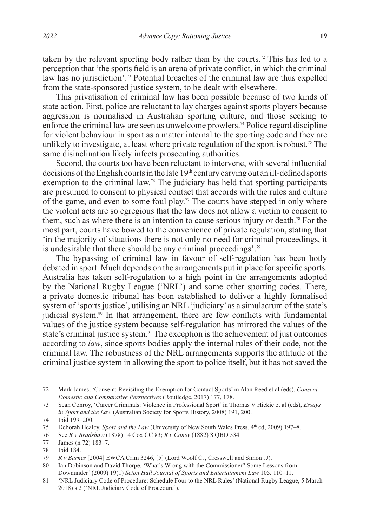taken by the relevant sporting body rather than by the courts.<sup>72</sup> This has led to a perception that 'the sports field is an arena of private conflict, in which the criminal law has no jurisdiction'.<sup>73</sup> Potential breaches of the criminal law are thus expelled from the state-sponsored justice system, to be dealt with elsewhere.

This privatisation of criminal law has been possible because of two kinds of state action. First, police are reluctant to lay charges against sports players because aggression is normalised in Australian sporting culture, and those seeking to enforce the criminal law are seen as unwelcome prowlers.<sup>74</sup> Police regard discipline for violent behaviour in sport as a matter internal to the sporting code and they are unlikely to investigate, at least where private regulation of the sport is robust.<sup>75</sup> The same disinclination likely infects prosecuting authorities.

Second, the courts too have been reluctant to intervene, with several influential decisions of the English courts in the late  $19<sup>th</sup>$  century carving out an ill-defined sports exemption to the criminal law.<sup>76</sup> The judiciary has held that sporting participants are presumed to consent to physical contact that accords with the rules and culture of the game, and even to some foul play.<sup>77</sup> The courts have stepped in only where the violent acts are so egregious that the law does not allow a victim to consent to them, such as where there is an intention to cause serious injury or death.78 For the most part, courts have bowed to the convenience of private regulation, stating that 'in the majority of situations there is not only no need for criminal proceedings, it is undesirable that there should be any criminal proceedings'.79

The bypassing of criminal law in favour of self-regulation has been hotly debated in sport. Much depends on the arrangements put in place for specific sports. Australia has taken self-regulation to a high point in the arrangements adopted by the National Rugby League ('NRL') and some other sporting codes. There, a private domestic tribunal has been established to deliver a highly formalised system of 'sports justice', utilising an NRL 'judiciary' as a simulacrum of the state's judicial system.<sup>80</sup> In that arrangement, there are few conflicts with fundamental values of the justice system because self-regulation has mirrored the values of the state's criminal justice system.<sup>81</sup> The exception is the achievement of just outcomes according to *law*, since sports bodies apply the internal rules of their code, not the criminal law. The robustness of the NRL arrangements supports the attitude of the criminal justice system in allowing the sport to police itself, but it has not saved the

<sup>72</sup> Mark James, 'Consent: Revisiting the Exemption for Contact Sports' in Alan Reed et al (eds), *Consent: Domestic and Comparative Perspectives* (Routledge, 2017) 177, 178.

<sup>73</sup> Sean Conroy, 'Career Criminals: Violence in Professional Sport' in Thomas V Hickie et al (eds), *Essays in Sport and the Law* (Australian Society for Sports History, 2008) 191, 200.

<sup>74</sup> Ibid 199–200.

<sup>75</sup> Deborah Healey, *Sport and the Law* (University of New South Wales Press,  $4^{\text{th}}$  ed, 2009) 197–8.

<sup>76</sup> See *R v Bradshaw* (1878) 14 Cox CC 83; *R v Coney* (1882) 8 QBD 534.

<sup>77</sup> James (n 72) 183–7.

<sup>78</sup> Ibid 184.<br>79 R v Barn

<sup>79</sup> *R v Barnes* [2004] EWCA Crim 3246, [5] (Lord Woolf CJ, Cresswell and Simon JJ).

<sup>80</sup> Ian Dobinson and David Thorpe, 'What's Wrong with the Commissioner? Some Lessons from Downunder' (2009) 19(1) *Seton Hall Journal of Sports and Entertainment Law* 105, 110–11.

<sup>81</sup> 'NRL Judiciary Code of Procedure: Schedule Four to the NRL Rules' (National Rugby League, 5 March 2018) s 2 ('NRL Judiciary Code of Procedure').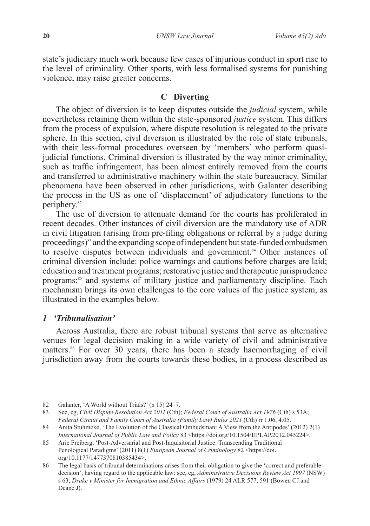state's judiciary much work because few cases of injurious conduct in sport rise to the level of criminality. Other sports, with less formalised systems for punishing violence, may raise greater concerns.

## **C Diverting**

The object of diversion is to keep disputes outside the *judicial* system, while nevertheless retaining them within the state-sponsored *justice* system. This differs from the process of expulsion, where dispute resolution is relegated to the private sphere. In this section, civil diversion is illustrated by the role of state tribunals, with their less-formal procedures overseen by 'members' who perform quasijudicial functions. Criminal diversion is illustrated by the way minor criminality, such as traffic infringement, has been almost entirely removed from the courts and transferred to administrative machinery within the state bureaucracy. Similar phenomena have been observed in other jurisdictions, with Galanter describing the process in the US as one of 'displacement' of adjudicatory functions to the periphery.<sup>82</sup>

The use of diversion to attenuate demand for the courts has proliferated in recent decades. Other instances of civil diversion are the mandatory use of ADR in civil litigation (arising from pre-filing obligations or referral by a judge during proceedings)83 and the expanding scope of independent but state-funded ombudsmen to resolve disputes between individuals and government.<sup>84</sup> Other instances of criminal diversion include: police warnings and cautions before charges are laid; education and treatment programs; restorative justice and therapeutic jurisprudence programs;<sup>85</sup> and systems of military justice and parliamentary discipline. Each mechanism brings its own challenges to the core values of the justice system, as illustrated in the examples below.

## *1 'Tribunalisation'*

Across Australia, there are robust tribunal systems that serve as alternative venues for legal decision making in a wide variety of civil and administrative matters.<sup>86</sup> For over 30 years, there has been a steady haemorrhaging of civil jurisdiction away from the courts towards these bodies, in a process described as

<sup>82</sup> Galanter, 'A World without Trials?' (n 15) 24–7.

<sup>83</sup> See, eg, *Civil Dispute Resolution Act 2011* (Cth); *Federal Court of Australia Act 1976* (Cth) s 53A; *Federal Circuit and Family Court of Australia (Family Law) Rules 2021* (Cth) rr 1.06, 4.05.

<sup>84</sup> Anita Stuhmcke, 'The Evolution of the Classical Ombudsman: A View from the Antipodes' (2012) 2(1) *International Journal of Public Law and Policy* 83 <https://doi.org/10.1504/IJPLAP.2012.045224>.

<sup>85</sup> Arie Freiberg, 'Post-Adversarial and Post-Inquisitorial Justice: Transcending Traditional Penological Paradigms' (2011) 8(1) *European Journal of Criminology* 82 <https://doi. org/10.1177/1477370810385434>.

<sup>86</sup> The legal basis of tribunal determinations arises from their obligation to give the 'correct and preferable decision', having regard to the applicable law: see, eg, *Administrative Decisions Review Act 1997* (NSW) s 63; *Drake v Minister for Immigration and Ethnic Affairs* (1979) 24 ALR 577, 591 (Bowen CJ and Deane J).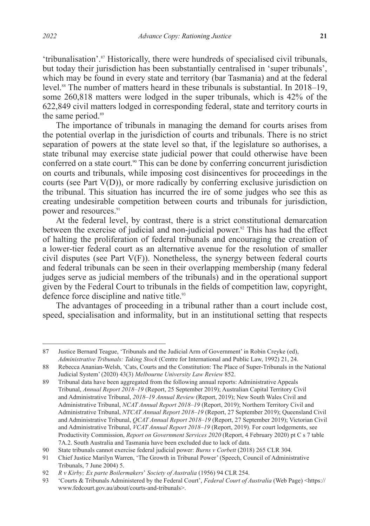'tribunalisation'.87 Historically, there were hundreds of specialised civil tribunals, but today their jurisdiction has been substantially centralised in 'super tribunals', which may be found in every state and territory (bar Tasmania) and at the federal level.88 The number of matters heard in these tribunals is substantial. In 2018–19, some 260,818 matters were lodged in the super tribunals, which is 42% of the 622,849 civil matters lodged in corresponding federal, state and territory courts in the same period.<sup>89</sup>

The importance of tribunals in managing the demand for courts arises from the potential overlap in the jurisdiction of courts and tribunals. There is no strict separation of powers at the state level so that, if the legislature so authorises, a state tribunal may exercise state judicial power that could otherwise have been conferred on a state court.<sup>90</sup> This can be done by conferring concurrent jurisdiction on courts and tribunals, while imposing cost disincentives for proceedings in the courts (see Part V(D)), or more radically by conferring exclusive jurisdiction on the tribunal. This situation has incurred the ire of some judges who see this as creating undesirable competition between courts and tribunals for jurisdiction, power and resources.<sup>91</sup>

At the federal level, by contrast, there is a strict constitutional demarcation between the exercise of judicial and non-judicial power.<sup>92</sup> This has had the effect of halting the proliferation of federal tribunals and encouraging the creation of a lower-tier federal court as an alternative avenue for the resolution of smaller civil disputes (see Part V(F)). Nonetheless, the synergy between federal courts and federal tribunals can be seen in their overlapping membership (many federal judges serve as judicial members of the tribunals) and in the operational support given by the Federal Court to tribunals in the fields of competition law, copyright, defence force discipline and native title.<sup>93</sup>

The advantages of proceeding in a tribunal rather than a court include cost, speed, specialisation and informality, but in an institutional setting that respects

<sup>87</sup> Justice Bernard Teague, 'Tribunals and the Judicial Arm of Government' in Robin Creyke (ed), *Administrative Tribunals: Taking Stock* (Centre for International and Public Law, 1992) 21, 24.

<sup>88</sup> Rebecca Ananian-Welsh, 'Cats, Courts and the Constitution: The Place of Super-Tribunals in the National Judicial System' (2020) 43(3) *Melbourne University Law Review* 852.

<sup>89</sup> Tribunal data have been aggregated from the following annual reports: Administrative Appeals Tribunal, *Annual Report 2018–19* (Report, 25 September 2019); Australian Capital Territory Civil and Administrative Tribunal, *2018–19 Annual Review* (Report, 2019); New South Wales Civil and Administrative Tribunal, *NCAT Annual Report 2018–19* (Report, 2019); Northern Territory Civil and Administrative Tribunal, *NTCAT Annual Report 2018–19* (Report, 27 September 2019); Queensland Civil and Administrative Tribunal, *QCAT Annual Report 2018–19* (Report, 27 September 2019); Victorian Civil and Administrative Tribunal, *VCAT Annual Report 2018*–*19* (Report, 2019). For court lodgements, see Productivity Commission, *Report on Government Services 2020* (Report, 4 February 2020) pt C s 7 table 7A.2. South Australia and Tasmania have been excluded due to lack of data.

<sup>90</sup> State tribunals cannot exercise federal judicial power: *Burns v Corbett* (2018) 265 CLR 304.

<sup>91</sup> Chief Justice Marilyn Warren, 'The Growth in Tribunal Power' (Speech, Council of Administrative Tribunals, 7 June 2004) 5.

<sup>92</sup> *R v Kirby; Ex parte Boilermakers*' *Society of Australia* (1956) 94 CLR 254.

<sup>93</sup> 'Courts & Tribunals Administered by the Federal Court', *Federal Court of Australia* (Web Page) <https:// www.fedcourt.gov.au/about/courts-and-tribunals>.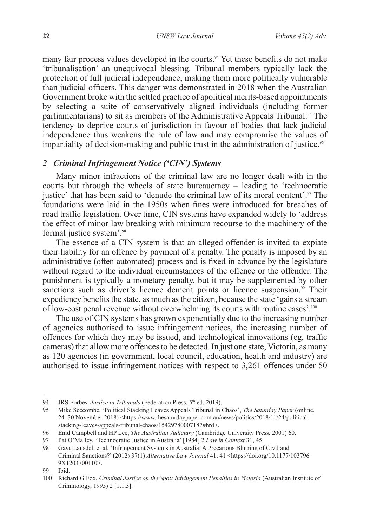many fair process values developed in the courts.<sup>94</sup> Yet these benefits do not make 'tribunalisation' an unequivocal blessing. Tribunal members typically lack the protection of full judicial independence, making them more politically vulnerable than judicial officers. This danger was demonstrated in 2018 when the Australian Government broke with the settled practice of apolitical merits-based appointments by selecting a suite of conservatively aligned individuals (including former parliamentarians) to sit as members of the Administrative Appeals Tribunal.<sup>95</sup> The tendency to deprive courts of jurisdiction in favour of bodies that lack judicial independence thus weakens the rule of law and may compromise the values of impartiality of decision-making and public trust in the administration of justice.<sup>96</sup>

## *2 Criminal Infringement Notice ('CIN') Systems*

Many minor infractions of the criminal law are no longer dealt with in the courts but through the wheels of state bureaucracy – leading to 'technocratic justice' that has been said to 'denude the criminal law of its moral content'.<sup>97</sup> The foundations were laid in the 1950s when fines were introduced for breaches of road traffic legislation. Over time, CIN systems have expanded widely to 'address the effect of minor law breaking with minimum recourse to the machinery of the formal justice system'.<sup>98</sup>

The essence of a CIN system is that an alleged offender is invited to expiate their liability for an offence by payment of a penalty. The penalty is imposed by an administrative (often automated) process and is fixed in advance by the legislature without regard to the individual circumstances of the offence or the offender. The punishment is typically a monetary penalty, but it may be supplemented by other sanctions such as driver's licence demerit points or licence suspension.<sup>99</sup> Their expediency benefits the state, as much as the citizen, because the state 'gains a stream of low-cost penal revenue without overwhelming its courts with routine cases'.<sup>100</sup>

The use of CIN systems has grown exponentially due to the increasing number of agencies authorised to issue infringement notices, the increasing number of offences for which they may be issued, and technological innovations (eg, traffic cameras) that allow more offences to be detected. In just one state, Victoria, as many as 120 agencies (in government, local council, education, health and industry) are authorised to issue infringement notices with respect to 3,261 offences under 50

<sup>94</sup> JRS Forbes, *Justice in Tribunals* (Federation Press, 5<sup>th</sup> ed, 2019).

<sup>95</sup> Mike Seccombe, 'Political Stacking Leaves Appeals Tribunal in Chaos', *The Saturday Paper* (online, 24–30 November 2018) <https://www.thesaturdaypaper.com.au/news/politics/2018/11/24/politicalstacking-leaves-appeals-tribunal-chaos/15429780007187#hrd>.

<sup>96</sup> Enid Campbell and HP Lee, *The Australian Judiciary* (Cambridge University Press, 2001) 60.

<sup>97</sup> Pat O'Malley, 'Technocratic Justice in Australia' [1984] 2 *Law in Context* 31, 45.

<sup>98</sup> Gaye Lansdell et al, 'Infringement Systems in Australia: A Precarious Blurring of Civil and Criminal Sanctions?' (2012) 37(1) *Alternative Law Journal* 41, 41 <https://doi.org/10.1177/103796 9X1203700110>.

<sup>99</sup> Ibid.

<sup>100</sup> Richard G Fox, *Criminal Justice on the Spot: Infringement Penalties in Victoria* (Australian Institute of Criminology, 1995) 2 [1.1.3].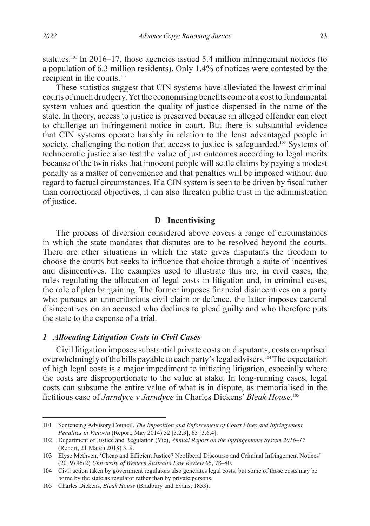statutes.<sup>101</sup> In 2016–17, those agencies issued 5.4 million infringement notices (to a population of 6.3 million residents). Only 1.4% of notices were contested by the recipient in the courts.102

These statistics suggest that CIN systems have alleviated the lowest criminal courts of much drudgery. Yet the economising benefits come at a cost to fundamental system values and question the quality of justice dispensed in the name of the state. In theory, access to justice is preserved because an alleged offender can elect to challenge an infringement notice in court. But there is substantial evidence that CIN systems operate harshly in relation to the least advantaged people in society, challenging the notion that access to justice is safeguarded.<sup>103</sup> Systems of technocratic justice also test the value of just outcomes according to legal merits because of the twin risks that innocent people will settle claims by paying a modest penalty as a matter of convenience and that penalties will be imposed without due regard to factual circumstances. If a CIN system is seen to be driven by fiscal rather than correctional objectives, it can also threaten public trust in the administration of justice.

### **D Incentivising**

The process of diversion considered above covers a range of circumstances in which the state mandates that disputes are to be resolved beyond the courts. There are other situations in which the state gives disputants the freedom to choose the courts but seeks to influence that choice through a suite of incentives and disincentives. The examples used to illustrate this are, in civil cases, the rules regulating the allocation of legal costs in litigation and, in criminal cases, the role of plea bargaining. The former imposes financial disincentives on a party who pursues an unmeritorious civil claim or defence, the latter imposes carceral disincentives on an accused who declines to plead guilty and who therefore puts the state to the expense of a trial.

## *1 Allocating Litigation Costs in Civil Cases*

Civil litigation imposes substantial private costs on disputants; costs comprised overwhelmingly of the bills payable to each party's legal advisers.104 The expectation of high legal costs is a major impediment to initiating litigation, especially where the costs are disproportionate to the value at stake. In long-running cases, legal costs can subsume the entire value of what is in dispute, as memorialised in the fictitious case of *Jarndyce v Jarndyce* in Charles Dickens' *Bleak House*. 105

<sup>101</sup> Sentencing Advisory Council, *The Imposition and Enforcement of Court Fines and Infringement Penalties in Victoria* (Report, May 2014) 52 [3.2.3], 63 [3.6.4].

<sup>102</sup> Department of Justice and Regulation (Vic), *Annual Report on the Infringements System 2016–17* (Report, 21 March 2018) 3, 9.

<sup>103</sup> Elyse Methven, 'Cheap and Efficient Justice? Neoliberal Discourse and Criminal Infringement Notices' (2019) 45(2) *University of Western Australia Law Review* 65, 78–80.

<sup>104</sup> Civil action taken by government regulators also generates legal costs, but some of those costs may be borne by the state as regulator rather than by private persons.

<sup>105</sup> Charles Dickens, *Bleak House* (Bradbury and Evans, 1853).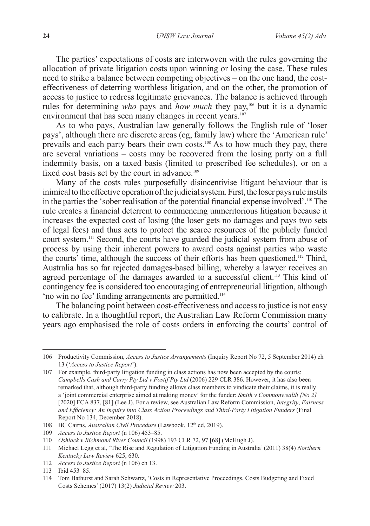The parties' expectations of costs are interwoven with the rules governing the allocation of private litigation costs upon winning or losing the case. These rules need to strike a balance between competing objectives – on the one hand, the costeffectiveness of deterring worthless litigation, and on the other, the promotion of access to justice to redress legitimate grievances. The balance is achieved through rules for determining *who* pays and *how much* they pay,106 but it is a dynamic environment that has seen many changes in recent years.<sup>107</sup>

As to who pays, Australian law generally follows the English rule of 'loser pays', although there are discrete areas (eg, family law) where the 'American rule' prevails and each party bears their own costs.108 As to how much they pay, there are several variations – costs may be recovered from the losing party on a full indemnity basis, on a taxed basis (limited to prescribed fee schedules), or on a fixed cost basis set by the court in advance.<sup>109</sup>

Many of the costs rules purposefully disincentivise litigant behaviour that is inimical to the effective operation of the judicial system. First, the loser pays rule instils in the parties the 'sober realisation of the potential financial expense involved'.<sup>110</sup> The rule creates a financial deterrent to commencing unmeritorious litigation because it increases the expected cost of losing (the loser gets no damages and pays two sets of legal fees) and thus acts to protect the scarce resources of the publicly funded court system.111 Second, the courts have guarded the judicial system from abuse of process by using their inherent powers to award costs against parties who waste the courts' time, although the success of their efforts has been questioned.112 Third, Australia has so far rejected damages-based billing, whereby a lawyer receives an agreed percentage of the damages awarded to a successful client.<sup> $113$ </sup> This kind of contingency fee is considered too encouraging of entrepreneurial litigation, although 'no win no fee' funding arrangements are permitted.114

The balancing point between cost-effectiveness and access to justice is not easy to calibrate. In a thoughtful report, the Australian Law Reform Commission many years ago emphasised the role of costs orders in enforcing the courts' control of

<sup>106</sup> Productivity Commission, *Access to Justice Arrangements* (Inquiry Report No 72, 5 September 2014) ch 13 ('*Access to Justice Report*').

<sup>107</sup> For example, third-party litigation funding in class actions has now been accepted by the courts: *Campbells Cash and Carry Pty Ltd v Fostif Pty Ltd* (2006) 229 CLR 386. However, it has also been remarked that, although third-party funding allows class members to vindicate their claims, it is really a 'joint commercial enterprise aimed at making money' for the funder: *Smith v Commonwealth [No 2]* [2020] FCA 837, [81] (Lee J). For a review, see Australian Law Reform Commission, *Integrity*, *Fairness and Efficiency: An Inquiry into Class Action Proceedings and Third-Party Litigation Funders* (Final Report No 134, December 2018).

<sup>108</sup> BC Cairns, *Australian Civil Procedure* (Lawbook, 12<sup>th</sup> ed, 2019).

<sup>109</sup> *Access to Justice Report* (n 106) 453–85.

<sup>110</sup> *Oshlack v Richmond River Council* (1998) 193 CLR 72, 97 [68] (McHugh J).

<sup>111</sup> Michael Legg et al, 'The Rise and Regulation of Litigation Funding in Australia' (2011) 38(4) *Northern Kentucky Law Review* 625, 630.

<sup>112</sup> *Access to Justice Report* (n 106) ch 13.

<sup>113</sup> Ibid 453–85.

<sup>114</sup> Tom Bathurst and Sarah Schwartz, 'Costs in Representative Proceedings, Costs Budgeting and Fixed Costs Schemes' (2017) 13(2) *Judicial Review* 203.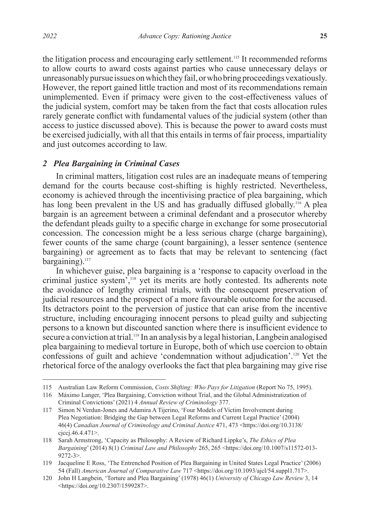the litigation process and encouraging early settlement.<sup>115</sup> It recommended reforms to allow courts to award costs against parties who cause unnecessary delays or unreasonably pursue issues on which they fail, or who bring proceedings vexatiously. However, the report gained little traction and most of its recommendations remain unimplemented. Even if primacy were given to the cost-effectiveness values of the judicial system, comfort may be taken from the fact that costs allocation rules rarely generate conflict with fundamental values of the judicial system (other than access to justice discussed above). This is because the power to award costs must be exercised judicially, with all that this entails in terms of fair process, impartiality and just outcomes according to law.

#### *2 Plea Bargaining in Criminal Cases*

In criminal matters, litigation cost rules are an inadequate means of tempering demand for the courts because cost-shifting is highly restricted. Nevertheless, economy is achieved through the incentivising practice of plea bargaining, which has long been prevalent in the US and has gradually diffused globally.<sup>116</sup> A plea bargain is an agreement between a criminal defendant and a prosecutor whereby the defendant pleads guilty to a specific charge in exchange for some prosecutorial concession. The concession might be a less serious charge (charge bargaining), fewer counts of the same charge (count bargaining), a lesser sentence (sentence bargaining) or agreement as to facts that may be relevant to sentencing (fact bargaining).<sup>117</sup>

In whichever guise, plea bargaining is a 'response to capacity overload in the criminal justice system<sup>7</sup>,<sup>118</sup> yet its merits are hotly contested. Its adherents note the avoidance of lengthy criminal trials, with the consequent preservation of judicial resources and the prospect of a more favourable outcome for the accused. Its detractors point to the perversion of justice that can arise from the incentive structure, including encouraging innocent persons to plead guilty and subjecting persons to a known but discounted sanction where there is insufficient evidence to secure a conviction at trial.<sup>119</sup> In an analysis by a legal historian, Langbein analogised plea bargaining to medieval torture in Europe, both of which use coercion to obtain confessions of guilt and achieve 'condemnation without adjudication'.120 Yet the rhetorical force of the analogy overlooks the fact that plea bargaining may give rise

<sup>115</sup> Australian Law Reform Commission, *Costs Shifting: Who Pays for Litigation* (Report No 75, 1995).

<sup>116</sup> Máximo Langer, 'Plea Bargaining, Conviction without Trial, and the Global Administratization of Criminal Convictions' (2021) 4 *Annual Review of Criminology* 377.

<sup>117</sup> Simon N Verdun-Jones and Adamira A Tijerino, 'Four Models of Victim Involvement during Plea Negotiation: Bridging the Gap between Legal Reforms and Current Legal Practice' (2004) 46(4) *Canadian Journal of Criminology and Criminal Justice* 471, 473 <https://doi.org/10.3138/ cjccj.46.4.471>.

<sup>118</sup> Sarah Armstrong, 'Capacity as Philosophy: A Review of Richard Lippke's, *The Ethics of Plea Bargaining*' (2014) 8(1) *Criminal Law and Philosophy* 265, 265 <https://doi.org/10.1007/s11572-013- 9272-3>.

<sup>119</sup> Jacqueline E Ross, 'The Entrenched Position of Plea Bargaining in United States Legal Practice' (2006) 54 (Fall) *American Journal of Comparative Law* 717 <https://doi.org/10.1093/ajcl/54.suppl1.717>.

<sup>120</sup> John H Langbein, 'Torture and Plea Bargaining' (1978) 46(1) *University of Chicago Law Review* 3, 14 <https://doi.org/10.2307/1599287>.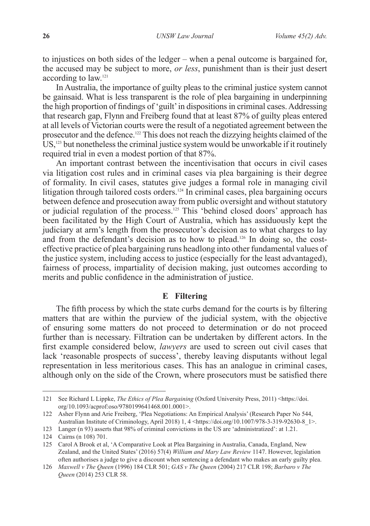to injustices on both sides of the ledger – when a penal outcome is bargained for, the accused may be subject to more, *or less*, punishment than is their just desert according to law.121

In Australia, the importance of guilty pleas to the criminal justice system cannot be gainsaid. What is less transparent is the role of plea bargaining in underpinning the high proportion of findings of 'guilt' in dispositions in criminal cases. Addressing that research gap, Flynn and Freiberg found that at least 87% of guilty pleas entered at all levels of Victorian courts were the result of a negotiated agreement between the prosecutor and the defence.122 This does not reach the dizzying heights claimed of the US,<sup>123</sup> but nonetheless the criminal justice system would be unworkable if it routinely required trial in even a modest portion of that 87%.

An important contrast between the incentivisation that occurs in civil cases via litigation cost rules and in criminal cases via plea bargaining is their degree of formality. In civil cases, statutes give judges a formal role in managing civil litigation through tailored costs orders.<sup>124</sup> In criminal cases, plea bargaining occurs between defence and prosecution away from public oversight and without statutory or judicial regulation of the process.<sup>125</sup> This 'behind closed doors' approach has been facilitated by the High Court of Australia, which has assiduously kept the judiciary at arm's length from the prosecutor's decision as to what charges to lay and from the defendant's decision as to how to plead.126 In doing so, the costeffective practice of plea bargaining runs headlong into other fundamental values of the justice system, including access to justice (especially for the least advantaged), fairness of process, impartiality of decision making, just outcomes according to merits and public confidence in the administration of justice.

### **E Filtering**

The fifth process by which the state curbs demand for the courts is by filtering matters that are within the purview of the judicial system, with the objective of ensuring some matters do not proceed to determination or do not proceed further than is necessary. Filtration can be undertaken by different actors. In the first example considered below, *lawyers* are used to screen out civil cases that lack 'reasonable prospects of success', thereby leaving disputants without legal representation in less meritorious cases. This has an analogue in criminal cases, although only on the side of the Crown, where prosecutors must be satisfied there

<sup>121</sup> See Richard L Lippke, *The Ethics of Plea Bargaining* (Oxford University Press, 2011) <https://doi. org/10.1093/acprof:oso/9780199641468.001.0001>.

<sup>122</sup> Asher Flynn and Arie Freiberg, 'Plea Negotiations: An Empirical Analysis' (Research Paper No 544, Australian Institute of Criminology, April 2018) 1, 4 <https://doi.org/10.1007/978-3-319-92630-8\_1>.

<sup>123</sup> Langer (n 93) asserts that 98% of criminal convictions in the US are 'administratized': at 1.21.

<sup>124</sup> Cairns (n 108) 701.

<sup>125</sup> Carol A Brook et al, 'A Comparative Look at Plea Bargaining in Australia, Canada, England, New Zealand, and the United States' (2016) 57(4) *William and Mary Law Review* 1147. However, legislation often authorises a judge to give a discount when sentencing a defendant who makes an early guilty plea.

<sup>126</sup> *Maxwell v The Queen* (1996) 184 CLR 501; *GAS v The Queen* (2004) 217 CLR 198; *Barbaro v The Queen* (2014) 253 CLR 58.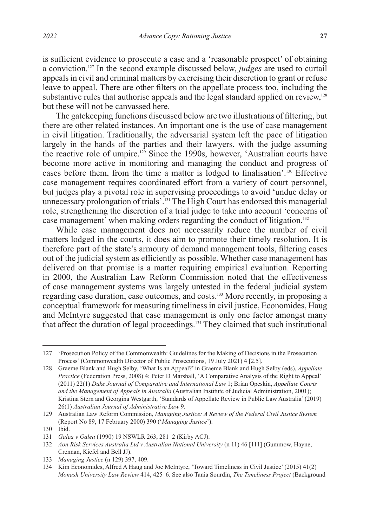is sufficient evidence to prosecute a case and a 'reasonable prospect' of obtaining a conviction.127 In the second example discussed below, *judges* are used to curtail appeals in civil and criminal matters by exercising their discretion to grant or refuse leave to appeal. There are other filters on the appellate process too, including the substantive rules that authorise appeals and the legal standard applied on review,<sup>128</sup> but these will not be canvassed here.

The gatekeeping functions discussed below are two illustrations of filtering, but there are other related instances. An important one is the use of case management in civil litigation. Traditionally, the adversarial system left the pace of litigation largely in the hands of the parties and their lawyers, with the judge assuming the reactive role of umpire.<sup>129</sup> Since the 1990s, however, 'Australian courts have become more active in monitoring and managing the conduct and progress of cases before them, from the time a matter is lodged to finalisation'.130 Effective case management requires coordinated effort from a variety of court personnel, but judges play a pivotal role in supervising proceedings to avoid 'undue delay or unnecessary prolongation of trials'.<sup>131</sup> The High Court has endorsed this managerial role, strengthening the discretion of a trial judge to take into account 'concerns of case management' when making orders regarding the conduct of litigation.<sup>132</sup>

While case management does not necessarily reduce the number of civil matters lodged in the courts, it does aim to promote their timely resolution. It is therefore part of the state's armoury of demand management tools, filtering cases out of the judicial system as efficiently as possible. Whether case management has delivered on that promise is a matter requiring empirical evaluation. Reporting in 2000, the Australian Law Reform Commission noted that the effectiveness of case management systems was largely untested in the federal judicial system regarding case duration, case outcomes, and costs.133 More recently, in proposing a conceptual framework for measuring timeliness in civil justice, Economides, Haug and McIntyre suggested that case management is only one factor amongst many that affect the duration of legal proceedings.134 They claimed that such institutional

<sup>127</sup> 'Prosecution Policy of the Commonwealth: Guidelines for the Making of Decisions in the Prosecution Process' (Commonwealth Director of Public Prosecutions, 19 July 2021) 4 [2.5].

<sup>128</sup> Graeme Blank and Hugh Selby, 'What Is an Appeal?' in Graeme Blank and Hugh Selby (eds), *Appellate Practice* (Federation Press, 2008) 4; Peter D Marshall, 'A Comparative Analysis of the Right to Appeal' (2011) 22(1) *Duke Journal of Comparative and International Law* 1; Brian Opeskin, *Appellate Courts and the Management of Appeals in Australia* (Australian Institute of Judicial Administration, 2001); Kristina Stern and Georgina Westgarth, 'Standards of Appellate Review in Public Law Australia' (2019) 26(1) *Australian Journal of Administrative Law* 9.

<sup>129</sup> Australian Law Reform Commission, *Managing Justice: A Review of the Federal Civil Justice System*  (Report No 89, 17 February 2000) 390 ('*Managing Justice*').

<sup>130</sup> Ibid.

<sup>131</sup> *Galea v Galea* (1990) 19 NSWLR 263, 281–2 (Kirby ACJ).

<sup>132</sup> *Aon Risk Services Australia Ltd v Australian National University* (n 11) 46 [111] (Gummow, Hayne, Crennan, Kiefel and Bell JJ).

<sup>133</sup> *Managing Justice* (n 129) 397, 409.

<sup>134</sup> Kim Economides, Alfred A Haug and Joe McIntyre, 'Toward Timeliness in Civil Justice' (2015) 41(2) *Monash University Law Review* 414, 425–6. See also Tania Sourdin, *The Timeliness Project* (Background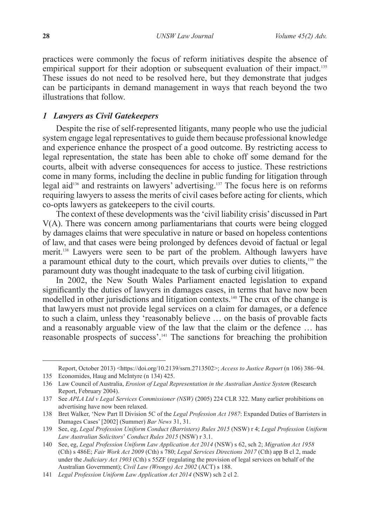practices were commonly the focus of reform initiatives despite the absence of empirical support for their adoption or subsequent evaluation of their impact.<sup>135</sup> These issues do not need to be resolved here, but they demonstrate that judges can be participants in demand management in ways that reach beyond the two illustrations that follow.

### *1 Lawyers as Civil Gatekeepers*

Despite the rise of self-represented litigants, many people who use the judicial system engage legal representatives to guide them because professional knowledge and experience enhance the prospect of a good outcome. By restricting access to legal representation, the state has been able to choke off some demand for the courts, albeit with adverse consequences for access to justice. These restrictions come in many forms, including the decline in public funding for litigation through legal aid<sup>136</sup> and restraints on lawyers' advertising.<sup>137</sup> The focus here is on reforms requiring lawyers to assess the merits of civil cases before acting for clients, which co-opts lawyers as gatekeepers to the civil courts.

The context of these developments was the 'civil liability crisis' discussed in Part V(A). There was concern among parliamentarians that courts were being clogged by damages claims that were speculative in nature or based on hopeless contentions of law, and that cases were being prolonged by defences devoid of factual or legal merit.138 Lawyers were seen to be part of the problem. Although lawyers have a paramount ethical duty to the court, which prevails over duties to clients,139 the paramount duty was thought inadequate to the task of curbing civil litigation.

In 2002, the New South Wales Parliament enacted legislation to expand significantly the duties of lawyers in damages cases, in terms that have now been modelled in other jurisdictions and litigation contexts.140 The crux of the change is that lawyers must not provide legal services on a claim for damages, or a defence to such a claim, unless they 'reasonably believe … on the basis of provable facts and a reasonably arguable view of the law that the claim or the defence … has reasonable prospects of success'.141 The sanctions for breaching the prohibition

Report, October 2013) <https://doi.org/10.2139/ssrn.2713502>; *Access to Justice Report* (n 106) 386–94. 135 Economides, Haug and McIntyre (n 134) 425.

<sup>136</sup> Law Council of Australia, *Erosion of Legal Representation in the Australian Justice System* (Research Report, February 2004).

<sup>137</sup> See *APLA Ltd v Legal Services Commissioner (NSW)* (2005) 224 CLR 322. Many earlier prohibitions on advertising have now been relaxed.

<sup>138</sup> Bret Walker, 'New Part II Division 5C of the *Legal Profession Act 1987*: Expanded Duties of Barristers in Damages Cases' [2002] (Summer) *Bar News* 31, 31.

<sup>139</sup> See, eg, *Legal Profession Uniform Conduct (Barristers) Rules 2015* (NSW) r 4; *Legal Profession Uniform Law Australian Solicitors*' *Conduct Rules 2015* (NSW) r 3.1.

<sup>140</sup> See, eg, *Legal Profession Uniform Law Application Act 2014* (NSW) s 62, sch 2; *Migration Act 1958* (Cth) s 486E; *Fair Work Act 2009* (Cth) s 780; *Legal Services Directions 2017* (Cth) app B cl 2, made under the *Judiciary Act 1903* (Cth) s 55ZF (regulating the provision of legal services on behalf of the Australian Government); *Civil Law (Wrongs) Act 2002* (ACT) s 188.

<sup>141</sup> *Legal Profession Uniform Law Application Act 2014* (NSW) sch 2 cl 2.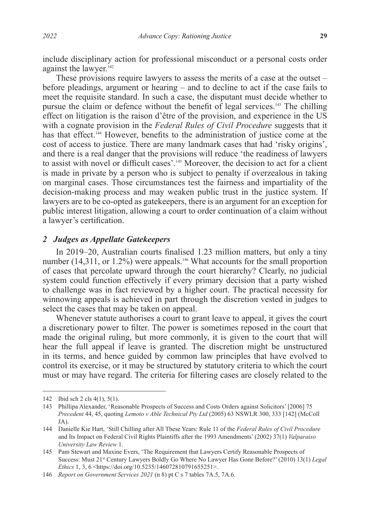include disciplinary action for professional misconduct or a personal costs order against the lawyer.<sup>142</sup>

These provisions require lawyers to assess the merits of a case at the outset – before pleadings, argument or hearing – and to decline to act if the case fails to meet the requisite standard. In such a case, the disputant must decide whether to pursue the claim or defence without the benefit of legal services.<sup>143</sup> The chilling effect on litigation is the raison d'être of the provision, and experience in the US with a cognate provision in the *Federal Rules of Civil Procedure* suggests that it has that effect.<sup>144</sup> However, benefits to the administration of justice come at the cost of access to justice. There are many landmark cases that had 'risky origins', and there is a real danger that the provisions will reduce 'the readiness of lawyers to assist with novel or difficult cases'.<sup>145</sup> Moreover, the decision to act for a client is made in private by a person who is subject to penalty if overzealous in taking on marginal cases. Those circumstances test the fairness and impartiality of the decision-making process and may weaken public trust in the justice system. If lawyers are to be co-opted as gatekeepers, there is an argument for an exception for public interest litigation, allowing a court to order continuation of a claim without a lawyer's certification.

#### *2 Judges as Appellate Gatekeepers*

In 2019–20, Australian courts finalised 1.23 million matters, but only a tiny number  $(14,311, \text{ or } 1.2\%)$  were appeals.<sup>146</sup> What accounts for the small proportion of cases that percolate upward through the court hierarchy? Clearly, no judicial system could function effectively if every primary decision that a party wished to challenge was in fact reviewed by a higher court. The practical necessity for winnowing appeals is achieved in part through the discretion vested in judges to select the cases that may be taken on appeal.

Whenever statute authorises a court to grant leave to appeal, it gives the court a discretionary power to filter. The power is sometimes reposed in the court that made the original ruling, but more commonly, it is given to the court that will hear the full appeal if leave is granted. The discretion might be unstructured in its terms, and hence guided by common law principles that have evolved to control its exercise, or it may be structured by statutory criteria to which the court must or may have regard. The criteria for filtering cases are closely related to the

<sup>142</sup> Ibid sch 2 cls 4(1), 5(1).

<sup>143</sup> Phillipa Alexander, 'Reasonable Prospects of Success and Costs Orders against Solicitors' [2006] 75 *Precedent* 44, 45, quoting *Lemoto v Able Technical Pty Ltd* (2005) 63 NSWLR 300, 333 [142] (McColl JA).

<sup>144</sup> Danielle Kie Hart, 'Still Chilling after All These Years: Rule 11 of the *Federal Rules of Civil Procedure* and Its Impact on Federal Civil Rights Plaintiffs after the 1993 Amendments' (2002) 37(1) *Valparaiso University Law Review* 1.

<sup>145</sup> Pam Stewart and Maxine Evers, 'The Requirement that Lawyers Certify Reasonable Prospects of Success: Must 21st Century Lawyers Boldly Go Where No Lawyer Has Gone Before?' (2010) 13(1) *Legal Ethics* 1, 3, 6 <https://doi.org/10.5235/146072810791655251>.

<sup>146</sup> *Report on Government Services 2021* (n 8) pt C s 7 tables 7A.5, 7A.6.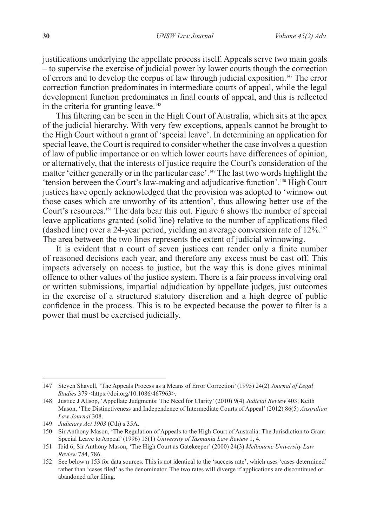justifications underlying the appellate process itself. Appeals serve two main goals  $-$  to supervise the exercise of judicial power by lower courts though the correction of errors and to develop the corpus of law through judicial exposition.147 The error correction function predominates in intermediate courts of appeal, while the legal development function predominates in final courts of appeal, and this is reflected in the criteria for granting leave.<sup>148</sup>

This filtering can be seen in the High Court of Australia, which sits at the apex of the judicial hierarchy. With very few exceptions, appeals cannot be brought to the High Court without a grant of 'special leave'. In determining an application for special leave, the Court is required to consider whether the case involves a question of law of public importance or on which lower courts have differences of opinion, or alternatively, that the interests of justice require the Court's consideration of the matter 'either generally or in the particular case'.149 The last two words highlight the 'tension between the Court's law-making and adjudicative function'.150 High Court justices have openly acknowledged that the provision was adopted to 'winnow out those cases which are unworthy of its attention', thus allowing better use of the Court's resources.151 The data bear this out. Figure 6 shows the number of special leave applications granted (solid line) relative to the number of applications filed (dashed line) over a 24-year period, yielding an average conversion rate of  $12\%$ <sup>152</sup> The area between the two lines represents the extent of judicial winnowing.

It is evident that a court of seven justices can render only a finite number of reasoned decisions each year, and therefore any excess must be cast off. This impacts adversely on access to justice, but the way this is done gives minimal offence to other values of the justice system. There is a fair process involving oral or written submissions, impartial adjudication by appellate judges, just outcomes in the exercise of a structured statutory discretion and a high degree of public confidence in the process. This is to be expected because the power to filter is a power that must be exercised judicially.

<sup>147</sup> Steven Shavell, 'The Appeals Process as a Means of Error Correction' (1995) 24(2) *Journal of Legal Studies* 379 <https://doi.org/10.1086/467963>.

<sup>148</sup> Justice J Allsop, 'Appellate Judgments: The Need for Clarity' (2010) 9(4) *Judicial Review* 403; Keith Mason, 'The Distinctiveness and Independence of Intermediate Courts of Appeal' (2012) 86(5) *Australian Law Journal* 308.

<sup>149</sup> *Judiciary Act 1903* (Cth) s 35A.

<sup>150</sup> Sir Anthony Mason, 'The Regulation of Appeals to the High Court of Australia: The Jurisdiction to Grant Special Leave to Appeal' (1996) 15(1) *University of Tasmania Law Review* 1, 4.

<sup>151</sup> Ibid 6; Sir Anthony Mason, 'The High Court as Gatekeeper' (2000) 24(3) *Melbourne University Law Review* 784, 786.

<sup>152</sup> See below n 153 for data sources. This is not identical to the 'success rate', which uses 'cases determined' rather than 'cases filed' as the denominator. The two rates will diverge if applications are discontinued or abandoned after filing.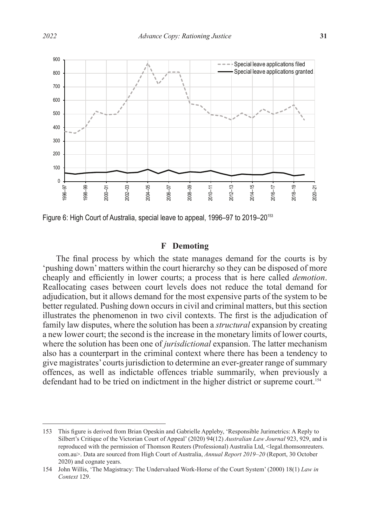

Figure 6: High Court of Australia, special leave to appeal, 1996–97 to 2019–20153

# **F Demoting**

The final process by which the state manages demand for the courts is by 'pushing down' matters within the court hierarchy so they can be disposed of more cheaply and efficiently in lower courts; a process that is here called *demotion*. Reallocating cases between court levels does not reduce the total demand for adjudication, but it allows demand for the most expensive parts of the system to be better regulated. Pushing down occurs in civil and criminal matters, but this section illustrates the phenomenon in two civil contexts. The first is the adjudication of family law disputes, where the solution has been a *structural* expansion by creating a new lower court; the second is the increase in the monetary limits of lower courts, where the solution has been one of *jurisdictional* expansion. The latter mechanism also has a counterpart in the criminal context where there has been a tendency to give magistrates' courts jurisdiction to determine an ever-greater range of summary offences, as well as indictable offences triable summarily, when previously a defendant had to be tried on indictment in the higher district or supreme court.<sup>154</sup>

<sup>153</sup> This figure is derived from Brian Opeskin and Gabrielle Appleby, 'Responsible Jurimetrics: A Reply to Silbert's Critique of the Victorian Court of Appeal' (2020) 94(12) *Australian Law Journal* 923, 929, and is reproduced with the permission of Thomson Reuters (Professional) Australia Ltd, <legal.thomsonreuters. com.au>. Data are sourced from High Court of Australia, *Annual Report 2019–20* (Report, 30 October 2020) and cognate years.

<sup>154</sup> John Willis, 'The Magistracy: The Undervalued Work-Horse of the Court System' (2000) 18(1) *Law in Context* 129.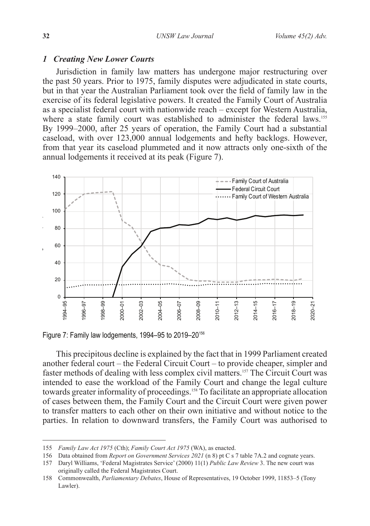#### *1 Creating New Lower Courts*

Jurisdiction in family law matters has undergone major restructuring over the past 50 years. Prior to 1975, family disputes were adjudicated in state courts, but in that year the Australian Parliament took over the field of family law in the exercise of its federal legislative powers. It created the Family Court of Australia as a specialist federal court with nationwide reach – except for Western Australia, where a state family court was established to administer the federal laws.<sup>155</sup> By 1999–2000, after 25 years of operation, the Family Court had a substantial caseload, with over 123,000 annual lodgements and hefty backlogs. However, from that year its caseload plummeted and it now attracts only one-sixth of the annual lodgements it received at its peak (Figure 7).



Figure 7: Family law lodgements, 1994–95 to 2019–20156

This precipitous decline is explained by the fact that in 1999 Parliament created another federal court – the Federal Circuit Court – to provide cheaper, simpler and faster methods of dealing with less complex civil matters.157 The Circuit Court was intended to ease the workload of the Family Court and change the legal culture towards greater informality of proceedings.<sup>158</sup> To facilitate an appropriate allocation of cases between them, the Family Court and the Circuit Court were given power to transfer matters to each other on their own initiative and without notice to the parties. In relation to downward transfers, the Family Court was authorised to

<sup>155</sup> *Family Law Act 1975* (Cth); *Family Court Act 1975* (WA), as enacted.

<sup>156</sup> Data obtained from *Report on Government Services 2021* (n 8) pt C s 7 table 7A.2 and cognate years.

<sup>157</sup> Daryl Williams, 'Federal Magistrates Service' (2000) 11(1) *Public Law Review* 3. The new court was originally called the Federal Magistrates Court.

<sup>158</sup> Commonwealth, *Parliamentary Debates*, House of Representatives, 19 October 1999, 11853–5 (Tony Lawler).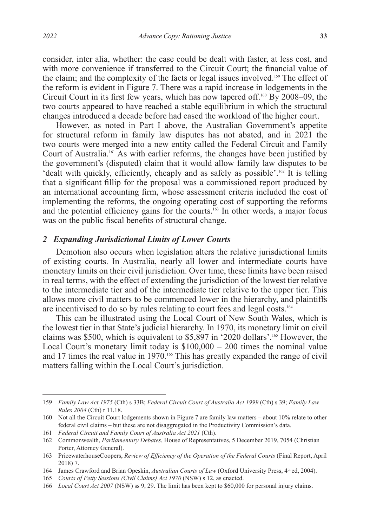consider, inter alia, whether: the case could be dealt with faster, at less cost, and with more convenience if transferred to the Circuit Court; the financial value of the claim; and the complexity of the facts or legal issues involved.159 The effect of the reform is evident in Figure 7. There was a rapid increase in lodgements in the Circuit Court in its first few years, which has now tapered off.160 By 2008–09, the two courts appeared to have reached a stable equilibrium in which the structural changes introduced a decade before had eased the workload of the higher court.

However, as noted in Part I above, the Australian Government's appetite for structural reform in family law disputes has not abated, and in 2021 the two courts were merged into a new entity called the Federal Circuit and Family Court of Australia.161 As with earlier reforms, the changes have been justified by the government's (disputed) claim that it would allow family law disputes to be 'dealt with quickly, efficiently, cheaply and as safely as possible'.162 It is telling that a significant fillip for the proposal was a commissioned report produced by an international accounting firm, whose assessment criteria included the cost of implementing the reforms, the ongoing operating cost of supporting the reforms and the potential efficiency gains for the courts.<sup>163</sup> In other words, a major focus was on the public fiscal benefits of structural change.

## *2 Expanding Jurisdictional Limits of Lower Courts*

Demotion also occurs when legislation alters the relative jurisdictional limits of existing courts. In Australia, nearly all lower and intermediate courts have monetary limits on their civil jurisdiction. Over time, these limits have been raised in real terms, with the effect of extending the jurisdiction of the lowest tier relative to the intermediate tier and of the intermediate tier relative to the upper tier. This allows more civil matters to be commenced lower in the hierarchy, and plaintiffs are incentivised to do so by rules relating to court fees and legal costs.164

This can be illustrated using the Local Court of New South Wales, which is the lowest tier in that State's judicial hierarchy. In 1970, its monetary limit on civil claims was \$500, which is equivalent to \$5,897 in '2020 dollars'.165 However, the Local Court's monetary limit today is  $$100,000 - 200$  times the nominal value and 17 times the real value in 1970.<sup>166</sup> This has greatly expanded the range of civil matters falling within the Local Court's jurisdiction.

<sup>159</sup> *Family Law Act 1975* (Cth) s 33B; *Federal Circuit Court of Australia Act 1999* (Cth) s 39; *Family Law Rules 2004* (Cth) r 11.18.

<sup>160</sup> Not all the Circuit Court lodgements shown in Figure 7 are family law matters – about 10% relate to other federal civil claims – but these are not disaggregated in the Productivity Commission's data.

<sup>161</sup> *Federal Circuit and Family Court of Australia Act 2021* (Cth).

<sup>162</sup> Commonwealth, *Parliamentary Debates*, House of Representatives, 5 December 2019, 7054 (Christian Porter, Attorney General).

<sup>163</sup> PricewaterhouseCoopers, *Review of Efficiency of the Operation of the Federal Courts* (Final Report, April 2018) 7.

<sup>164</sup> James Crawford and Brian Opeskin, *Australian Courts of Law* (Oxford University Press, 4<sup>th</sup> ed, 2004).

<sup>165</sup> *Courts of Petty Sessions (Civil Claims) Act 1970* (NSW) s 12, as enacted.

<sup>166</sup> *Local Court Act 2007* (NSW) ss 9, 29. The limit has been kept to \$60,000 for personal injury claims.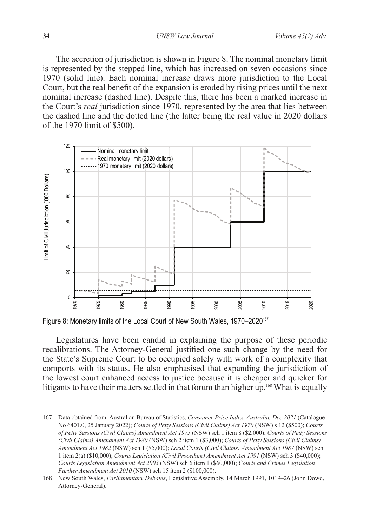The accretion of jurisdiction is shown in Figure 8. The nominal monetary limit is represented by the stepped line, which has increased on seven occasions since 1970 (solid line). Each nominal increase draws more jurisdiction to the Local Court, but the real benefit of the expansion is eroded by rising prices until the next nominal increase (dashed line). Despite this, there has been a marked increase in the Court's *real* jurisdiction since 1970, represented by the area that lies between the dashed line and the dotted line (the latter being the real value in 2020 dollars of the 1970 limit of \$500).



Figure 8: Monetary limits of the Local Court of New South Wales, 1970–2020<sup>167</sup>

Legislatures have been candid in explaining the purpose of these periodic recalibrations. The Attorney-General justified one such change by the need for the State's Supreme Court to be occupied solely with work of a complexity that comports with its status. He also emphasised that expanding the jurisdiction of the lowest court enhanced access to justice because it is cheaper and quicker for litigants to have their matters settled in that forum than higher up.<sup>168</sup> What is equally

<sup>167</sup> Data obtained from: Australian Bureau of Statistics, *Consumer Price Index, Australia, Dec 2021* (Catalogue No 6401.0, 25 January 2022); *Courts of Petty Sessions (Civil Claims) Act 1970* (NSW) s 12 (\$500); *Courts of Petty Sessions (Civil Claims) Amendment Act 1975* (NSW) sch 1 item 8 (\$2,000); *Courts of Petty Sessions (Civil Claims) Amendment Act 1980* (NSW) sch 2 item 1 (\$3,000); *Courts of Petty Sessions (Civil Claims) Amendment Act 1982* (NSW) sch 1 (\$5,000); *Local Courts (Civil Claims) Amendment Act 1987* (NSW) sch 1 item 2(a) (\$10,000); *Courts Legislation (Civil Procedure) Amendment Act 1991* (NSW) sch 3 (\$40,000); *Courts Legislation Amendment Act 2003* (NSW) sch 6 item 1 (\$60,000); *Courts and Crimes Legislation Further Amendment Act 2010* (NSW) sch 15 item 2 (\$100,000).

<sup>168</sup> New South Wales, *Parliamentary Debates*, Legislative Assembly, 14 March 1991, 1019–26 (John Dowd, Attorney-General).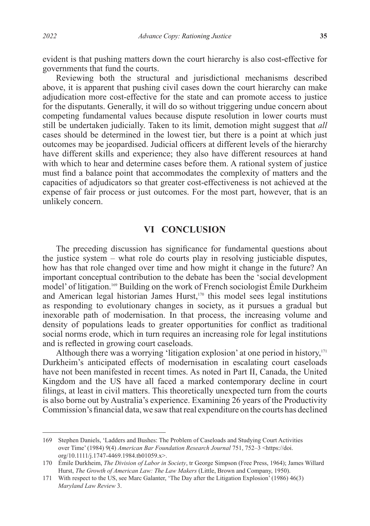evident is that pushing matters down the court hierarchy is also cost-effective for governments that fund the courts.

Reviewing both the structural and jurisdictional mechanisms described above, it is apparent that pushing civil cases down the court hierarchy can make adjudication more cost-effective for the state and can promote access to justice for the disputants. Generally, it will do so without triggering undue concern about competing fundamental values because dispute resolution in lower courts must still be undertaken judicially. Taken to its limit, demotion might suggest that *all* cases should be determined in the lowest tier, but there is a point at which just outcomes may be jeopardised. Judicial officers at different levels of the hierarchy have different skills and experience; they also have different resources at hand with which to hear and determine cases before them. A rational system of justice must find a balance point that accommodates the complexity of matters and the capacities of adjudicators so that greater cost-effectiveness is not achieved at the expense of fair process or just outcomes. For the most part, however, that is an unlikely concern.

# **VI CONCLUSION**

The preceding discussion has significance for fundamental questions about the justice system – what role do courts play in resolving justiciable disputes, how has that role changed over time and how might it change in the future? An important conceptual contribution to the debate has been the 'social development model' of litigation.169 Building on the work of French sociologist Émile Durkheim and American legal historian James Hurst,<sup>170</sup> this model sees legal institutions as responding to evolutionary changes in society, as it pursues a gradual but inexorable path of modernisation. In that process, the increasing volume and density of populations leads to greater opportunities for conflict as traditional social norms erode, which in turn requires an increasing role for legal institutions and is reflected in growing court caseloads.

Although there was a worrying 'litigation explosion' at one period in history, $171$ Durkheim's anticipated effects of modernisation in escalating court caseloads have not been manifested in recent times. As noted in Part II, Canada, the United Kingdom and the US have all faced a marked contemporary decline in court filings, at least in civil matters. This theoretically unexpected turn from the courts is also borne out by Australia's experience. Examining 26 years of the Productivity Commission's financial data, we saw that real expenditure on the courts has declined

<sup>169</sup> Stephen Daniels, 'Ladders and Bushes: The Problem of Caseloads and Studying Court Activities over Time' (1984) 9(4) *American Bar Foundation Research Journal* 751, 752–3 <https://doi. org/10.1111/j.1747-4469.1984.tb01059.x>.

<sup>170</sup> Émile Durkheim, *The Division of Labor in Society*, tr George Simpson (Free Press, 1964); James Willard Hurst, *The Growth of American Law: The Law Makers* (Little, Brown and Company, 1950).

<sup>171</sup> With respect to the US, see Marc Galanter, 'The Day after the Litigation Explosion' (1986) 46(3) *Maryland Law Review* 3.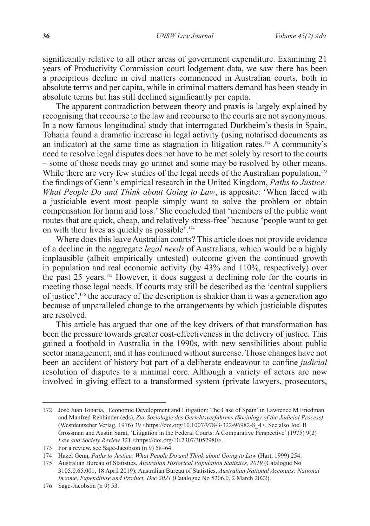significantly relative to all other areas of government expenditure. Examining 21 years of Productivity Commission court lodgement data, we saw there has been a precipitous decline in civil matters commenced in Australian courts, both in absolute terms and per capita, while in criminal matters demand has been steady in absolute terms but has still declined significantly per capita.

The apparent contradiction between theory and praxis is largely explained by recognising that recourse to the law and recourse to the courts are not synonymous. In a now famous longitudinal study that interrogated Durkheim's thesis in Spain, Toharia found a dramatic increase in legal activity (using notarised documents as an indicator) at the same time as stagnation in litigation rates.172 A community's need to resolve legal disputes does not have to be met solely by resort to the courts – some of those needs may go unmet and some may be resolved by other means. While there are very few studies of the legal needs of the Australian population,<sup>173</sup> the findings of Genn's empirical research in the United Kingdom, *Paths to Justice: What People Do and Think about Going to Law*, is apposite: 'When faced with a justiciable event most people simply want to solve the problem or obtain compensation for harm and loss.' She concluded that 'members of the public want routes that are quick, cheap, and relatively stress-free' because 'people want to get on with their lives as quickly as possible'.174

Where does this leave Australian courts? This article does not provide evidence of a decline in the aggregate *legal needs* of Australians, which would be a highly implausible (albeit empirically untested) outcome given the continued growth in population and real economic activity (by 43% and 110%, respectively) over the past 25 years.175 However, it does suggest a declining role for the courts in meeting those legal needs. If courts may still be described as the 'central suppliers of justice',176 the accuracy of the description is shakier than it was a generation ago because of unparalleled change to the arrangements by which justiciable disputes are resolved.

This article has argued that one of the key drivers of that transformation has been the pressure towards greater cost-effectiveness in the delivery of justice. This gained a foothold in Australia in the 1990s, with new sensibilities about public sector management, and it has continued without surcease. Those changes have not been an accident of history but part of a deliberate endeavour to confine *judicial* resolution of disputes to a minimal core. Although a variety of actors are now involved in giving effect to a transformed system (private lawyers, prosecutors,

<sup>172</sup> José Juan Toharia, 'Economic Development and Litigation: The Case of Spain' in Lawrence M Friedman and Manfred Rehbinder (eds), *Zur Soziologie des Gerichtsverfahrens (Sociology of the Judicial Process)* (Westdeutscher Verlag, 1976) 39 <https://doi.org/10.1007/978-3-322-96982-8 4>. See also Joel B Grossman and Austin Sarat, 'Litigation in the Federal Courts: A Comparative Perspective' (1975) 9(2) *Law and Society Review* 321 <https://doi.org/10.2307/3052980>.

<sup>173</sup> For a review, see Sage-Jacobson (n 9) 58–64.

<sup>174</sup> Hazel Genn, *Paths to Justice: What People Do and Think about Going to Law* (Hart, 1999) 254.

<sup>175</sup> Australian Bureau of Statistics, *Australian Historical Population Statistics, 2019* (Catalogue No 3105.0.65.001, 18 April 2019); Australian Bureau of Statistics, *Australian National Accounts: National Income, Expenditure and Product, Dec 2021* (Catalogue No 5206.0, 2 March 2022).

<sup>176</sup> Sage-Jacobson (n 9) 53.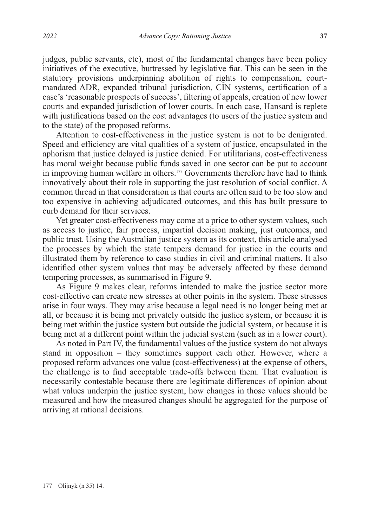judges, public servants, etc), most of the fundamental changes have been policy initiatives of the executive, buttressed by legislative fiat. This can be seen in the statutory provisions underpinning abolition of rights to compensation, courtmandated ADR, expanded tribunal jurisdiction, CIN systems, certification of a case's 'reasonable prospects of success', filtering of appeals, creation of new lower courts and expanded jurisdiction of lower courts. In each case, Hansard is replete with justifications based on the cost advantages (to users of the justice system and to the state) of the proposed reforms.

Attention to cost-effectiveness in the justice system is not to be denigrated. Speed and efficiency are vital qualities of a system of justice, encapsulated in the aphorism that justice delayed is justice denied. For utilitarians, cost-effectiveness has moral weight because public funds saved in one sector can be put to account in improving human welfare in others.<sup>177</sup> Governments therefore have had to think innovatively about their role in supporting the just resolution of social conflict. A common thread in that consideration is that courts are often said to be too slow and too expensive in achieving adjudicated outcomes, and this has built pressure to curb demand for their services.

Yet greater cost-effectiveness may come at a price to other system values, such as access to justice, fair process, impartial decision making, just outcomes, and public trust. Using the Australian justice system as its context, this article analysed the processes by which the state tempers demand for justice in the courts and illustrated them by reference to case studies in civil and criminal matters. It also identified other system values that may be adversely affected by these demand tempering processes, as summarised in Figure 9.

As Figure 9 makes clear, reforms intended to make the justice sector more cost-effective can create new stresses at other points in the system. These stresses arise in four ways. They may arise because a legal need is no longer being met at all, or because it is being met privately outside the justice system, or because it is being met within the justice system but outside the judicial system, or because it is being met at a different point within the judicial system (such as in a lower court).

As noted in Part IV, the fundamental values of the justice system do not always stand in opposition – they sometimes support each other. However, where a proposed reform advances one value (cost-effectiveness) at the expense of others, the challenge is to find acceptable trade-offs between them. That evaluation is necessarily contestable because there are legitimate differences of opinion about what values underpin the justice system, how changes in those values should be measured and how the measured changes should be aggregated for the purpose of arriving at rational decisions.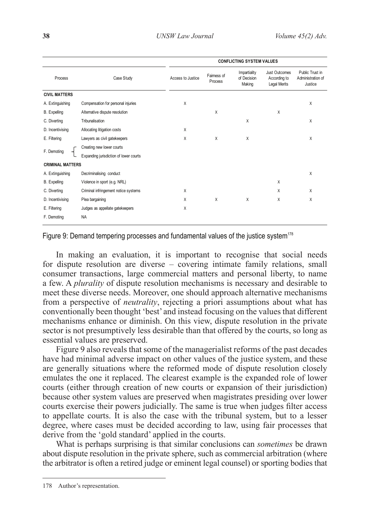|                         |                                        | <b>CONFLICTING SYSTEM VALUES</b> |                        |                                       |                                                      |                                                 |
|-------------------------|----------------------------------------|----------------------------------|------------------------|---------------------------------------|------------------------------------------------------|-------------------------------------------------|
| Process                 | Case Study                             | Access to Justice                | Fairness of<br>Process | Impartiality<br>of Decision<br>Making | Just Outcomes<br>According to<br><b>Legal Merits</b> | Public Trust in<br>Administration of<br>Justice |
| <b>CIVIL MATTERS</b>    |                                        |                                  |                        |                                       |                                                      |                                                 |
| A. Extinguishing        | Compensation for personal injuries     | X                                |                        |                                       |                                                      | X                                               |
| B. Expelling            | Alternative dispute resolution         |                                  | X                      |                                       | X                                                    |                                                 |
| C. Diverting            | Tribunalisation                        |                                  |                        | X                                     |                                                      | X                                               |
| D. Incentivising        | Allocating litigation costs            | X                                |                        |                                       |                                                      |                                                 |
| E. Filtering            | Lawyers as civil gatekeepers           | X                                | X                      | X                                     |                                                      | X                                               |
| F. Demoting             | Creating new lower courts              |                                  |                        |                                       |                                                      |                                                 |
|                         | Expanding jurisdiction of lower courts |                                  |                        |                                       |                                                      |                                                 |
| <b>CRIMINAL MATTERS</b> |                                        |                                  |                        |                                       |                                                      |                                                 |
| A. Extinguishing        | Decriminalising conduct                |                                  |                        |                                       |                                                      | X                                               |
| B. Expelling            | Violence in sport (e.g. NRL)           |                                  |                        |                                       | X                                                    |                                                 |
| C. Diverting            | Criminal infringement notice systems   | X                                |                        |                                       | X                                                    | X                                               |
| D. Incentivising        | Plea bargaining                        | X                                | X                      | X                                     | X                                                    | X                                               |
| E. Filtering            | Judges as appellate gatekeepers        | X                                |                        |                                       |                                                      |                                                 |
| F. Demoting             | <b>NA</b>                              |                                  |                        |                                       |                                                      |                                                 |

Figure 9: Demand tempering processes and fundamental values of the justice system<sup>178</sup>

In making an evaluation, it is important to recognise that social needs for dispute resolution are diverse – covering intimate family relations, small consumer transactions, large commercial matters and personal liberty, to name a few. A *plurality* of dispute resolution mechanisms is necessary and desirable to meet these diverse needs. Moreover, one should approach alternative mechanisms from a perspective of *neutrality*, rejecting a priori assumptions about what has conventionally been thought 'best' and instead focusing on the values that different mechanisms enhance or diminish. On this view, dispute resolution in the private sector is not presumptively less desirable than that offered by the courts, so long as essential values are preserved.

Figure 9 also reveals that some of the managerialist reforms of the past decades have had minimal adverse impact on other values of the justice system, and these are generally situations where the reformed mode of dispute resolution closely emulates the one it replaced. The clearest example is the expanded role of lower courts (either through creation of new courts or expansion of their jurisdiction) because other system values are preserved when magistrates presiding over lower courts exercise their powers judicially. The same is true when judges filter access to appellate courts. It is also the case with the tribunal system, but to a lesser degree, where cases must be decided according to law, using fair processes that derive from the 'gold standard' applied in the courts.

What is perhaps surprising is that similar conclusions can *sometimes* be drawn about dispute resolution in the private sphere, such as commercial arbitration (where the arbitrator is often a retired judge or eminent legal counsel) or sporting bodies that

<sup>178</sup> Author's representation.